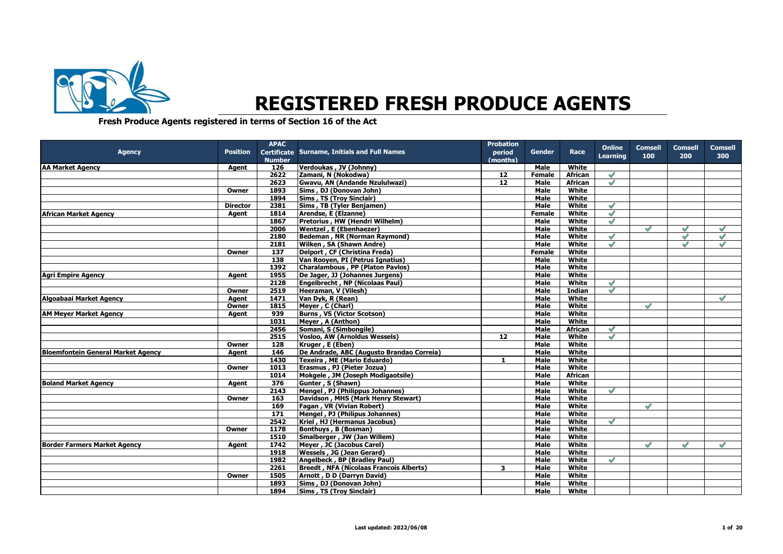

## **REGISTERED FRESH PRODUCE AGENTS**

**Fresh Produce Agents registered in terms of Section 16 of the Act**

|                                           |                 | <b>APAC</b>   |                                                         | <b>Probation</b> |               |                         |                 |                |                |                |
|-------------------------------------------|-----------------|---------------|---------------------------------------------------------|------------------|---------------|-------------------------|-----------------|----------------|----------------|----------------|
| <b>Agency</b>                             | <b>Position</b> |               | <b>Certificate Surname, Initials and Full Names</b>     | period           | Gender        | Race                    | <b>Online</b>   | <b>Comsell</b> | <b>Comsell</b> | <b>Comsell</b> |
|                                           |                 | <b>Number</b> |                                                         | (months)         |               |                         | <b>Learning</b> | 100            | 200            | 300            |
| <b>AA Market Agency</b>                   | Agent           | 126           | Verdoukas, JV (Johnny)                                  |                  | Male          | White                   |                 |                |                |                |
|                                           |                 | 2622          | Zamani, N (Nokodwa)                                     | $\overline{12}$  | <b>Female</b> | <b>African</b>          | $\mathscr{S}$   |                |                |                |
|                                           |                 | 2623          | Gwavu, AN (Andande Nzululwazi)                          | $\overline{12}$  | Male          | <b>African</b>          | $\mathscr{S}$   |                |                |                |
|                                           | Owner           | 1893          | Sims, DJ (Donovan John)                                 |                  | <b>Male</b>   | White                   |                 |                |                |                |
|                                           |                 | 1894          | Sims, TS (Troy Sinclair)                                |                  | Male          | White                   |                 |                |                |                |
|                                           | <b>Director</b> | 2381          | Sims, TB (Tyler Benjamen)                               |                  | <b>Male</b>   | White                   | $\mathscr{S}$   |                |                |                |
| African Market Agency                     | Agent           | 1814          | Arendse, E (Elzanne)                                    |                  | <b>Female</b> | White                   | $\mathscr{S}$   |                |                |                |
|                                           |                 | 1867          | Pretorius, HW (Hendri Wilhelm)                          |                  | Male          | White                   | $\mathscr{S}$   |                |                |                |
|                                           |                 | 2006          | <b>Wentzel</b> , E (Ebenhaezer)                         |                  | Male          | White                   |                 | $\mathscr{O}$  | $\mathscr{O}$  | $\mathscr{O}$  |
|                                           |                 | 2180          | Bedeman, NR (Norman Raymond)                            |                  | <b>Male</b>   | White                   | $\mathscr{S}$   |                | $\mathscr{S}$  | $\mathscr{S}$  |
|                                           |                 | 2181          | Wilken, SA (Shawn Andre)                                |                  | <b>Male</b>   | White                   | $\mathscr{S}$   |                | $\sqrt{}$      | $\sqrt{}$      |
|                                           | Owner           | 137           | Delport, CF (Christina Freda)                           |                  | <b>Female</b> | White                   |                 |                |                |                |
|                                           |                 | 138           | Van Rooyen, PI (Petrus Ignatius)                        |                  | Male          | White                   |                 |                |                |                |
|                                           |                 | 1392          | Charalambous, PP (Platon Pavlos)                        |                  | Male          | White                   |                 |                |                |                |
| <b>Agri Empire Agency</b>                 | Agent           | 1955          | De Jager, JJ (Johannes Jurgens)                         |                  | <b>Male</b>   | White                   |                 |                |                |                |
|                                           |                 | 2128          | Engelbrecht, NP (Nicolaas Paul)                         |                  | <b>Male</b>   | White                   | $\mathscr{S}$   |                |                |                |
|                                           | Owner           | 2519          | Heeraman, V (Vilesh)                                    |                  | <b>Male</b>   | <b>Indian</b>           | $\sqrt{}$       |                |                |                |
| Algoabaai Market Agency                   | Agent           | 1471          | Van Dyk, R (Rean)                                       |                  | Male          | White                   |                 |                |                | $\mathscr{A}$  |
|                                           | Owner           | 1815          | Meyer, C (Charl)                                        |                  | <b>Male</b>   | White                   |                 | $\mathscr{Q}$  |                |                |
| <b>AM Meyer Market Agency</b>             | Agent           | 939           | <b>Burns, VS (Victor Scotson)</b>                       |                  | Male          | White                   |                 |                |                |                |
|                                           |                 | 1031          | Mever, A (Anthon)                                       |                  | <b>Male</b>   | White                   |                 |                |                |                |
|                                           |                 | 2456          |                                                         |                  | Male          |                         | $\mathscr{Q}$   |                |                |                |
|                                           |                 | 2515          | Somani, S (Simbongile)<br>Vosloo, AW (Arnoldus Wessels) | $\overline{12}$  | <b>Male</b>   | <b>African</b><br>White | $\mathscr{S}$   |                |                |                |
|                                           |                 | 128           | Kruger, E (Eben)                                        |                  | Male          | White                   |                 |                |                |                |
|                                           | Owner           | 146           | De Andrade, ABC (Augusto Brandao Correia)               |                  |               | White                   |                 |                |                |                |
| <b>Bloemfontein General Market Agency</b> | Agent           | 1430          |                                                         |                  | <b>Male</b>   | White                   |                 |                |                |                |
|                                           |                 |               | Texeira, ME (Mario Eduardo)                             | 1                | Male          | White                   |                 |                |                |                |
|                                           | Owner           | 1013          | Erasmus, PJ (Pieter Jozua)                              |                  | Male          |                         |                 |                |                |                |
|                                           |                 | 1014          | Mokgele, JM (Joseph Modigaotsile)                       |                  | <b>Male</b>   | <b>African</b>          |                 |                |                |                |
| <b>Boland Market Agency</b>               | Agent           | 376           | Gunter, S (Shawn)                                       |                  | <b>Male</b>   | White                   |                 |                |                |                |
|                                           |                 | 2143          | Mengel, PJ (Philippus Johannes)                         |                  | <b>Male</b>   | White                   | $\mathscr{O}$   |                |                |                |
|                                           | Owner           | 163           | Davidson, MHS (Mark Henry Stewart)                      |                  | Male          | White                   |                 |                |                |                |
|                                           |                 | 169           | Fagan, VR (Vivian Robert)                               |                  | Male          | White                   |                 | $\mathscr{S}$  |                |                |
|                                           |                 | 171           | Mengel, PJ (Philipus Johannes)                          |                  | Male          | White                   |                 |                |                |                |
|                                           |                 | 2542          | Kriel, HJ (Hermanus Jacobus)                            |                  | <b>Male</b>   | White                   | $\mathscr{O}$   |                |                |                |
|                                           | Owner           | 1178          | Bonthuys, B (Bosman)                                    |                  | Male          | White                   |                 |                |                |                |
|                                           |                 | 1510          | Smalberger, JW (Jan Willem)                             |                  | <b>Male</b>   | White                   |                 |                |                |                |
| <b>Border Farmers Market Agency</b>       | Agent           | 1742          | Meyer, JC (Jacobus Carel)                               |                  | Male          | White                   |                 | $\mathscr{S}$  | $\mathscr{Q}$  | $\mathscr{A}$  |
|                                           |                 | 1918          | Wessels, JG (Jean Gerard)                               |                  | <b>Male</b>   | White                   |                 |                |                |                |
|                                           |                 | 1982          | Angelbeck, BP (Bradley Paul)                            |                  | <b>Male</b>   | White                   | $\mathscr{S}$   |                |                |                |
|                                           |                 | 2261          | <b>Breedt, NFA (Nicolaas Francois Alberts)</b>          | 3                | Male          | White                   |                 |                |                |                |
|                                           | Owner           | 1505          | Arnott, D D (Darryn David)                              |                  | Male          | White                   |                 |                |                |                |
|                                           |                 | 1893          | Sims, DJ (Donovan John)                                 |                  | <b>Male</b>   | White                   |                 |                |                |                |
|                                           |                 | 1894          | Sims, TS (Troy Sinclair)                                |                  | <b>Male</b>   | White                   |                 |                |                |                |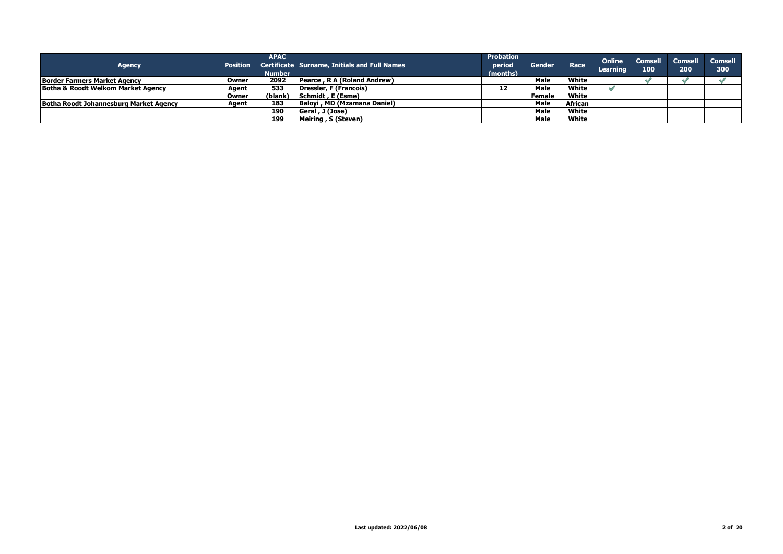| <b>Agency</b>                          |       | <b>APAC</b><br><b>Number</b> | Position Certificate Surname, Initials and Full Names | <b>Probation</b><br>period<br>(months) | Gender        | Race    | <b>Online</b><br><b>Learning</b> | 100 | <b>Comsell Comsell</b><br>200 | <b>Comsell</b><br>300 |
|----------------------------------------|-------|------------------------------|-------------------------------------------------------|----------------------------------------|---------------|---------|----------------------------------|-----|-------------------------------|-----------------------|
| <b>Border Farmers Market Agency</b>    | Owner | 2092                         | Pearce, R A (Roland Andrew)                           |                                        | Male          | White   |                                  |     |                               |                       |
| Botha & Roodt Welkom Market Agency     | Agent | 533                          | Dressler, F (Francois)                                | 12                                     | Male          | White   |                                  |     |                               |                       |
|                                        | Owner | (blank)                      | Schmidt, E (Esme)                                     |                                        | <b>Female</b> | White   |                                  |     |                               |                       |
| Botha Roodt Johannesburg Market Agency | Aaent | 183                          | Baloyi, MD (Mzamana Daniel)                           |                                        | Male          | African |                                  |     |                               |                       |
|                                        |       | 190                          | Geral, J (Jose)                                       |                                        | Male          | White   |                                  |     |                               |                       |
|                                        |       | 199                          | Meiring, S (Steven)                                   |                                        | Male          | White   |                                  |     |                               |                       |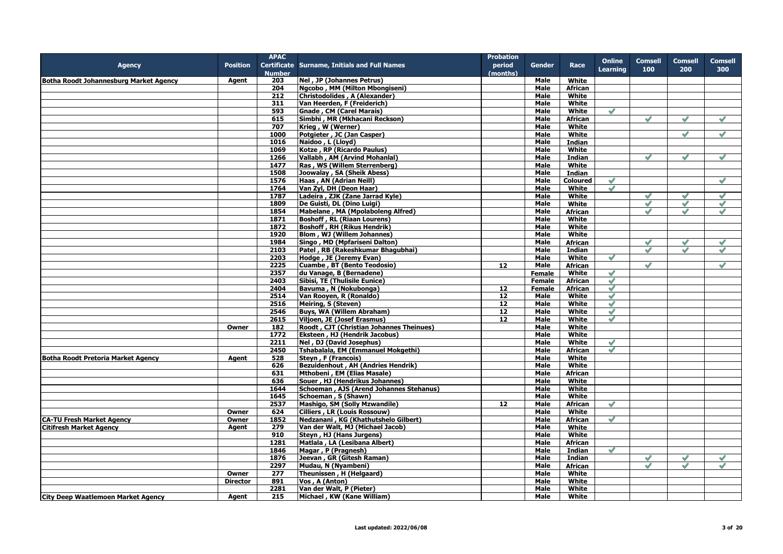|                                               |                 | <b>APAC</b>   |                                              | <b>Probation</b> |               |                 |                 |                |               |                |
|-----------------------------------------------|-----------------|---------------|----------------------------------------------|------------------|---------------|-----------------|-----------------|----------------|---------------|----------------|
| <b>Agency</b>                                 | <b>Position</b> |               | Certificate Surname, Initials and Full Names | period           | <b>Gender</b> | Race            | <b>Online</b>   | <b>Comsell</b> | Comsell       | <b>Comsell</b> |
|                                               |                 | <b>Number</b> |                                              | (months)         |               |                 | <b>Learning</b> | 100            | 200           | 300            |
| <b>Botha Roodt Johannesburg Market Agency</b> | Agent           | 203           | Nel, JP (Johannes Petrus)                    |                  | Male          | White           |                 |                |               |                |
|                                               |                 | 204           | Ngcobo, MM (Milton Mbongiseni)               |                  | Male          | African         |                 |                |               |                |
|                                               |                 | 212           | Christodolides, A (Alexander)                |                  | Male          | White           |                 |                |               |                |
|                                               |                 | 311           | Van Heerden, F (Freiderich)                  |                  | <b>Male</b>   | White           |                 |                |               |                |
|                                               |                 | 593           | Gnade, CM (Carel Marais)                     |                  | Male          | White           | $\mathscr{S}$   |                |               |                |
|                                               |                 | 615           | Simbhi, MR (Mkhacani Reckson)                |                  | Male          | <b>African</b>  |                 | $\mathscr{I}$  | $\checkmark$  | $\mathscr{S}$  |
|                                               |                 | 707           | Krieg, W (Werner)                            |                  | Male          | White           |                 |                |               |                |
|                                               |                 | 1000          | Potgieter, JC (Jan Casper)                   |                  |               | White           |                 |                | $\mathscr{S}$ | $\mathscr{S}$  |
|                                               |                 |               |                                              |                  | Male          |                 |                 |                |               |                |
|                                               |                 | 1016          | Naidoo, L (Lloyd)                            |                  | Male          | Indian          |                 |                |               |                |
|                                               |                 | 1069          | Kotze, RP (Ricardo Paulus)                   |                  | <b>Male</b>   | White           |                 |                |               |                |
|                                               |                 | 1266          | Vallabh, AM (Arvind Mohanlal)                |                  | Male          | Indian          |                 | $\mathscr{S}$  | $\mathscr{S}$ | $\mathscr{S}$  |
|                                               |                 | 1477          | Ras, WS (Willem Sterrenberg)                 |                  | Male          | White           |                 |                |               |                |
|                                               |                 | 1508          | Joowalay, SA (Sheik Abess)                   |                  | <b>Male</b>   | Indian          |                 |                |               |                |
|                                               |                 | 1576          | Haas, AN (Adrian Neill)                      |                  | <b>Male</b>   | <b>Coloured</b> | $\mathscr{S}$   |                |               | $\mathscr{S}$  |
|                                               |                 | 1764          | Van Zyl, DH (Deon Haar)                      |                  | Male          | White           | $\mathscr{S}$   |                |               |                |
|                                               |                 | 1787          | Ladeira, ZJK (Zane Jarrad Kyle)              |                  | Male          | White           |                 | $\mathscr{S}$  | $\checkmark$  | $\mathscr{S}$  |
|                                               |                 | 1809          | De Guisti, DL (Dino Luigi)                   |                  | Male          | White           |                 | $\mathscr{S}$  | $\mathscr{S}$ | $\mathscr{S}$  |
|                                               |                 | 1854          | Mabelane, MA (Mpolaboleng Alfred)            |                  | Male          | African         |                 | $\mathscr{S}$  | $\mathscr{Q}$ | $\mathscr{S}$  |
|                                               |                 | 1871          | <b>Boshoff, RL (Riaan Lourens)</b>           |                  | Male          | White           |                 |                |               |                |
|                                               |                 | 1872          | <b>Boshoff, RH (Rikus Hendrik)</b>           |                  | Male          | White           |                 |                |               |                |
|                                               |                 | 1920          | Blom, WJ (Willem Johannes)                   |                  | Male          | White           |                 |                |               |                |
|                                               |                 | 1984          | Singo, MD (Mpfariseni Dalton)                |                  | Male          | African         |                 | $\checkmark$   | $\checkmark$  | $\checkmark$   |
|                                               |                 | 2103          | Patel, RB (Rakeshkumar Bhagubhai)            |                  | Male          | <b>Indian</b>   |                 | $\checkmark$   | $\sqrt{}$     | $\mathscr{O}$  |
|                                               |                 | 2203          | Hodge, JE (Jeremy Evan)                      |                  | Male          | White           | $\mathscr{S}$   |                |               |                |
|                                               |                 | 2225          | Cuambe, BT (Bento Teodosio)                  | 12               | Male          | African         |                 | $\mathscr{S}$  |               |                |
|                                               |                 | 2357          | du Vanage, B (Bernadene)                     |                  | <b>Female</b> | White           | $\mathscr{S}$   |                |               |                |
|                                               |                 | 2403          | Sibisi, TE (Thulisile Eunice)                |                  | <b>Female</b> | <b>African</b>  | $\mathscr{S}$   |                |               |                |
|                                               |                 |               |                                              |                  |               |                 |                 |                |               |                |
|                                               |                 | 2404          | Bavuma, N (Nokubonga)                        | 12               | <b>Female</b> | <b>African</b>  | $\mathscr{S}$   |                |               |                |
|                                               |                 | 2514          | Van Rooyen, R (Ronaldo)                      | $\overline{12}$  | <b>Male</b>   | White           | $\checkmark$    |                |               |                |
|                                               |                 | 2516          | Meiring, S (Steven)                          | 12               | Male          | White           | $\mathscr{S}$   |                |               |                |
|                                               |                 | 2546          | <b>Buys, WA (Willem Abraham)</b>             | 12               | <b>Male</b>   | <b>White</b>    | $\mathscr{S}$   |                |               |                |
|                                               |                 | 2615          | Viljoen, JE (Josef Erasmus)                  | 12               | Male          | White           | $\mathscr{S}$   |                |               |                |
|                                               | Owner           | 182           | Roodt, CJT (Christian Johannes Theinues)     |                  | Male          | White           |                 |                |               |                |
|                                               |                 | 1772          | Eksteen, HJ (Hendrik Jacobus)                |                  | <b>Male</b>   | White           |                 |                |               |                |
|                                               |                 | 2211          | Nel, DJ (David Josephus)                     |                  | <b>Male</b>   | White           | $\mathscr{S}$   |                |               |                |
|                                               |                 | 2450          | Tshabalala, EM (Emmanuel Mokgethi)           |                  | Male          | <b>African</b>  | $\mathscr{S}$   |                |               |                |
| <b>Botha Roodt Pretoria Market Agency</b>     | Agent           | 528           | Steyn, F (Francois)                          |                  | Male          | White           |                 |                |               |                |
|                                               |                 | 626           | <b>Bezuidenhout, AH (Andries Hendrik)</b>    |                  | Male          | White           |                 |                |               |                |
|                                               |                 | 631           | Mthobeni, EM (Elias Masale)                  |                  | Male          | African         |                 |                |               |                |
|                                               |                 | 636           | Souer, HJ (Hendrikus Johannes)               |                  | <b>Male</b>   | White           |                 |                |               |                |
|                                               |                 | 1644          | Schoeman, AJS (Arend Johannes Stehanus)      |                  | Male          | White           |                 |                |               |                |
|                                               |                 | 1645          | Schoeman, S (Shawn)                          |                  | Male          | White           |                 |                |               |                |
|                                               |                 | 2537          | Mashigo, SM (Solly Mzwandile)                | 12               | Male          | <b>African</b>  | $\mathscr{S}$   |                |               |                |
|                                               | Owner           | 624           | <b>Cilliers, LR (Louis Rossouw)</b>          |                  | Male          | White           |                 |                |               |                |
| <b>CA-TU Fresh Market Agency</b>              | Owner           | 1852          | Nedzanani, KG (Khathutshelo Gilbert)         |                  | Male          | African         | $\mathscr{S}$   |                |               |                |
| <b>Citifresh Market Agency</b>                | Agent           | 279           | Van der Walt, MJ (Michael Jacob)             |                  | Male          | White           |                 |                |               |                |
|                                               |                 | 910           | Steyn, HJ (Hans Jurgens)                     |                  | Male          | White           |                 |                |               |                |
|                                               |                 | 1281          | Matlala, LA (Lesibana Albert)                |                  | Male          | <b>African</b>  |                 |                |               |                |
|                                               |                 | 1846          |                                              |                  | Male          |                 | $\mathscr{S}$   |                |               |                |
|                                               |                 |               | Magar, P (Pragnesh)                          |                  |               | Indian          |                 |                |               |                |
|                                               |                 | 1876          | Jeevan, GR (Gitesh Raman)                    |                  | Male          | <b>Indian</b>   |                 | $\mathscr{S}$  | $\mathscr{S}$ | $\sqrt{}$      |
|                                               |                 | 2297          | Mudau, N (Nyambeni)                          |                  | Male          | African         |                 | $\mathscr{S}$  | $\mathscr{S}$ | $\mathscr{S}$  |
|                                               | Owner           | 277           | Theunissen, H (Helgaard)                     |                  | <b>Male</b>   | White           |                 |                |               |                |
|                                               | <b>Director</b> | 891           | Vos, A (Anton)                               |                  | Male          | White           |                 |                |               |                |
|                                               |                 | 2281          | Van der Walt, P (Pieter)                     |                  | Male          | White           |                 |                |               |                |
| <b>City Deep Waatlemoen Market Agency</b>     | Agent           | 215           | Michael, KW (Kane William)                   |                  | Male          | White           |                 |                |               |                |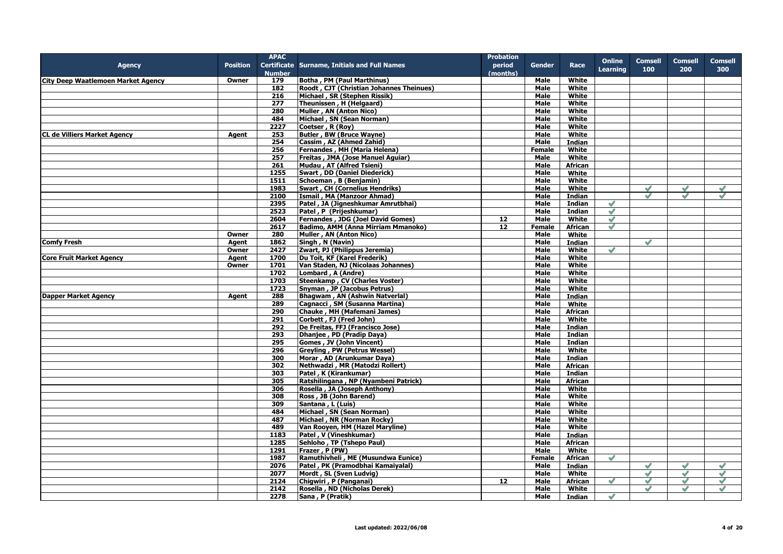|                                           |                 | <b>APAC</b>      |                                              | <b>Probation</b> |               |                |                 |                |                |               |
|-------------------------------------------|-----------------|------------------|----------------------------------------------|------------------|---------------|----------------|-----------------|----------------|----------------|---------------|
| <b>Agency</b>                             | <b>Position</b> |                  | Certificate Surname, Initials and Full Names | period           | <b>Gender</b> | Race           | <b>Online</b>   | <b>Comsell</b> | <b>Comsell</b> | Comsell       |
|                                           |                 | <b>Number</b>    |                                              | (months)         |               |                | <b>Learning</b> | 100            | 200            | 300           |
| <b>City Deep Waatlemoen Market Agency</b> | Owner           | 179              | <b>Botha, PM (Paul Marthinus)</b>            |                  | Male          | White          |                 |                |                |               |
|                                           |                 | 182              | Roodt, CJT (Christian Johannes Theinues)     |                  | <b>Male</b>   | White          |                 |                |                |               |
|                                           |                 |                  |                                              |                  |               |                |                 |                |                |               |
|                                           |                 | 216              | Michael, SR (Stephen Rissik)                 |                  | Male          | White          |                 |                |                |               |
|                                           |                 | 277              | Theunissen, H (Helgaard)                     |                  | Male          | White          |                 |                |                |               |
|                                           |                 | 280              | Muller, AN (Anton Nico)                      |                  | Male          | White          |                 |                |                |               |
|                                           |                 | 484              | Michael, SN (Sean Norman)                    |                  | Male          | White          |                 |                |                |               |
|                                           |                 | 2227             | Coetser, R (Roy)                             |                  | Male          | White          |                 |                |                |               |
| <b>CL de Villiers Market Agency</b>       | Agent           | 253              | <b>Butler, BW (Bruce Wayne)</b>              |                  | Male          | White          |                 |                |                |               |
|                                           |                 | 254              | Cassim, AZ (Ahmed Zahid)                     |                  | Male          | <b>Indian</b>  |                 |                |                |               |
|                                           |                 | 256              | Fernandes, MH (Maria Helena)                 |                  | <b>Female</b> | White          |                 |                |                |               |
|                                           |                 | 257              | Freitas, JMA (Jose Manuel Aquiar)            |                  | Male          | White          |                 |                |                |               |
|                                           |                 | 261              | Mudau, AT (Alfred Tsieni)                    |                  | Male          | African        |                 |                |                |               |
|                                           |                 | 1255             | Swart, DD (Daniel Diederick)                 |                  | Male          | White          |                 |                |                |               |
|                                           |                 | 1511             | Schoeman, B (Benjamin)                       |                  | Male          | White          |                 |                |                |               |
|                                           |                 | 1983             | <b>Swart, CH (Cornelius Hendriks)</b>        |                  | Male          | White          |                 | $\checkmark$   | $\checkmark$   | $\checkmark$  |
|                                           |                 | 2100             |                                              |                  |               |                |                 | $\mathscr{O}$  | $\mathscr{O}$  | $\mathscr{S}$ |
|                                           |                 |                  | Ismail, MA (Manzoor Ahmad)                   |                  | Male          | <b>Indian</b>  |                 |                |                |               |
|                                           |                 | 2395             | Patel, JA (Jigneshkumar Amrutbhai)           |                  | <b>Male</b>   | Indian         | $\mathscr{S}$   |                |                |               |
|                                           |                 | 2523             | Patel, P (Prijeshkumar)                      |                  | Male          | <b>Indian</b>  | $\mathscr{S}$   |                |                |               |
|                                           |                 | 2604             | <b>Fernandes, JDG (Joel David Gomes)</b>     | 12               | Male          | White          | $\mathscr{S}$   |                |                |               |
|                                           |                 | 2617             | Badimo, AMM (Anna Mirriam Mmanoko)           | 12               | Female        | African        | $\mathscr{S}$   |                |                |               |
|                                           | Owner           | 280              | Muller, AN (Anton Nico)                      |                  | Male          | White          |                 |                |                |               |
| <b>Comfy Fresh</b>                        | Agent           | 1862             | Singh, N (Navin)                             |                  | Male          | <b>Indian</b>  |                 | $\mathscr{S}$  |                |               |
|                                           | Owner           | 2427             | Zwart, PJ (Philippus Jeremia)                |                  | <b>Male</b>   | White          | $\checkmark$    |                |                |               |
| <b>Core Fruit Market Agency</b>           | Agent           | 1700             | Du Toit, KF (Karel Frederik)                 |                  | <b>Male</b>   | White          |                 |                |                |               |
|                                           | Owner           | 1701             | Van Staden, NJ (Nicolaas Johannes)           |                  | Male          | White          |                 |                |                |               |
|                                           |                 | $\frac{1702}{ }$ | Lombard, A (Andre)                           |                  | Male          | White          |                 |                |                |               |
|                                           |                 | 1703             | <b>Steenkamp, CV (Charles Voster)</b>        |                  | Male          | White          |                 |                |                |               |
|                                           |                 | 1723             | Snyman, JP (Jacobus Petrus)                  |                  | Male          |                |                 |                |                |               |
|                                           |                 |                  |                                              |                  |               | <b>White</b>   |                 |                |                |               |
| <b>Dapper Market Agency</b>               | Agent           | 288              | Bhaqwam, AN (Ashwin Natverlal)               |                  | Male          | <b>Indian</b>  |                 |                |                |               |
|                                           |                 | 289              | Cagnacci, SM (Susanna Martina)               |                  | Male          | White          |                 |                |                |               |
|                                           |                 | 290              | Chauke, MH (Mafemani James)                  |                  | Male          | African        |                 |                |                |               |
|                                           |                 | 291              | Corbett, FJ (Fred John)                      |                  | Male          | White          |                 |                |                |               |
|                                           |                 | 292              | De Freitas, FFJ (Francisco Jose)             |                  | Male          | <b>Indian</b>  |                 |                |                |               |
|                                           |                 | 293              | Dhanjee, PD (Pradip Daya)                    |                  | Male          | Indian         |                 |                |                |               |
|                                           |                 | 295              | Gomes, JV (John Vincent)                     |                  | Male          | Indian         |                 |                |                |               |
|                                           |                 | 296              | Greyling, PW (Petrus Wessel)                 |                  | Male          | White          |                 |                |                |               |
|                                           |                 | 300              | Morar, AD (Arunkumar Daya)                   |                  | Male          | <b>Indian</b>  |                 |                |                |               |
|                                           |                 | 302              | Nethwadzi, MR (Matodzi Rollert)              |                  | Male          | <b>African</b> |                 |                |                |               |
|                                           |                 | 303              | Patel, K (Kirankumar)                        |                  | Male          | <b>Indian</b>  |                 |                |                |               |
|                                           |                 | 305              | Ratshilingana, NP (Nyambeni Patrick)         |                  | Male          | African        |                 |                |                |               |
|                                           |                 | 306              | Rosella, JA (Joseph Anthony)                 |                  | Male          | White          |                 |                |                |               |
|                                           |                 |                  |                                              |                  |               |                |                 |                |                |               |
|                                           |                 | 308              | Ross, JB (John Barend)                       |                  | Male          | White          |                 |                |                |               |
|                                           |                 | 309              | Santana, L (Luis)                            |                  | Male          | White          |                 |                |                |               |
|                                           |                 | 484              | Michael, SN (Sean Norman)                    |                  | Male          | White          |                 |                |                |               |
|                                           |                 | 487              | Michael, NR (Norman Rocky)                   |                  | <b>Male</b>   | White          |                 |                |                |               |
|                                           |                 | 489              | Van Rooyen, HM (Hazel Maryline)              |                  | Male          | White          |                 |                |                |               |
|                                           |                 | 1183             | Patel, V (Vineshkumar)                       |                  | <b>Male</b>   | <b>Indian</b>  |                 |                |                |               |
|                                           |                 | 1285             | Sehloho, TP (Tshepo Paul)                    |                  | Male          | African        |                 |                |                |               |
|                                           |                 | 1291             | Frazer, P (PW)                               |                  | Male          | White          |                 |                |                |               |
|                                           |                 | 1987             | Ramuthivheli, ME (Musundwa Eunice)           |                  | Female        | African        | $\mathscr{S}$   |                |                |               |
|                                           |                 | 2076             | Patel, PK (Pramodbhai Kamaiyalal)            |                  | Male          | <b>Indian</b>  |                 | $\mathscr{S}$  | $\mathscr{S}$  | $\mathscr{S}$ |
|                                           |                 | 2077             | Mordt, SL (Sven Ludvig)                      |                  | Male          | White          |                 | $\mathscr{S}$  | $\checkmark$   | $\checkmark$  |
|                                           |                 | 2124             | Chigwiri, P (Panganai)                       | 12               | Male          | <b>African</b> | $\mathscr{S}$   | $\checkmark$   | $\checkmark$   | $\mathscr{S}$ |
|                                           |                 |                  |                                              |                  |               |                |                 | $\mathscr{S}$  | $\mathscr{S}$  | $\mathscr{O}$ |
|                                           |                 | 2142             | Rosella, ND (Nicholas Derek)                 |                  | Male          | White          |                 |                |                |               |
|                                           |                 | 2278             | Sana, P (Pratik)                             |                  | Male          | Indian         | $\mathscr{S}$   |                |                |               |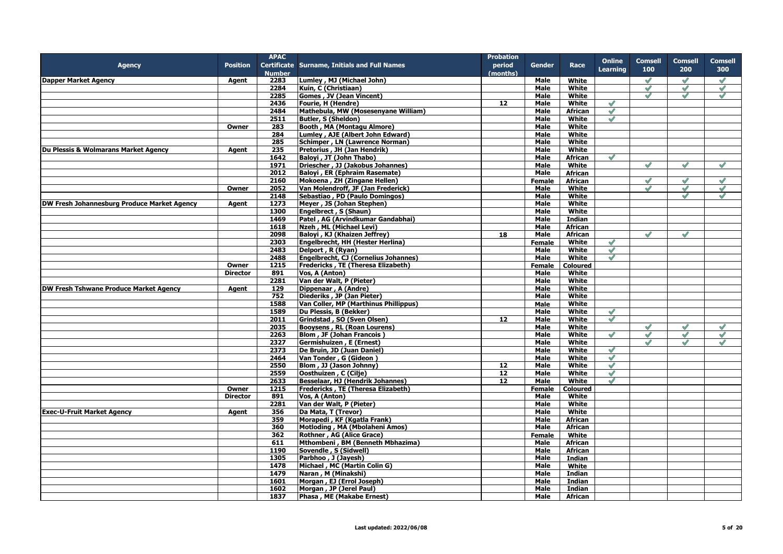|                                               |                 | <b>APAC</b>   |                                              | <b>Probation</b> |               |                 |                 |                |               |                |
|-----------------------------------------------|-----------------|---------------|----------------------------------------------|------------------|---------------|-----------------|-----------------|----------------|---------------|----------------|
| <b>Agency</b>                                 | <b>Position</b> |               | Certificate Surname, Initials and Full Names | period           | Gender        | Race            | <b>Online</b>   | <b>Comsell</b> | Comsell       | <b>Comsell</b> |
|                                               |                 | <b>Number</b> |                                              | (months)         |               |                 | <b>Learning</b> | 100            | 200           | 300            |
| Dapper Market Agency                          | Agent           | 2283          | Lumley, MJ (Michael John)                    |                  | Male          | White           |                 | $\mathscr{S}$  | $\mathscr{S}$ | $\mathscr{S}$  |
|                                               |                 | 2284          | Kuin, C (Christiaan)                         |                  | Male          | White           |                 | $\mathscr{S}$  | $\mathscr{S}$ | $\checkmark$   |
|                                               |                 | 2285          |                                              |                  |               | White           |                 | $\mathscr{S}$  | $\mathscr{S}$ | $\mathscr{S}$  |
|                                               |                 |               | Gomes, JV (Jean Vincent)                     |                  | <b>Male</b>   |                 |                 |                |               |                |
|                                               |                 | 2436          | Fourie, H (Hendre)                           | 12               | Male          | White           |                 |                |               |                |
|                                               |                 | 2484          | Mathebula, MW (Mosesenyane William)          |                  | Male          | African         | $\mathscr{S}$   |                |               |                |
|                                               |                 | 2511          | Butler, S (Sheldon)                          |                  | Male          | White           | $\mathscr{S}$   |                |               |                |
|                                               | Owner           | 283           | Booth, MA (Montagu Almore)                   |                  | Male          | White           |                 |                |               |                |
|                                               |                 | 284           | Lumley, AJE (Albert John Edward)             |                  | <b>Male</b>   | White           |                 |                |               |                |
|                                               |                 | 285           | Schimper, LN (Lawrence Norman)               |                  | Male          | White           |                 |                |               |                |
| Du Plessis & Wolmarans Market Agency          | Agent           | 235           | Pretorius, JH (Jan Hendrik)                  |                  | Male          | <b>White</b>    |                 |                |               |                |
|                                               |                 | 1642          | Baloyi, JT (John Thabo)                      |                  | Male          | African         | $\mathscr{S}$   |                |               |                |
|                                               |                 | 1971          | Driescher, JJ (Jakobus Johannes)             |                  | Male          | White           |                 | $\mathscr{S}$  | $\sqrt{}$     | $\mathscr{S}$  |
|                                               |                 | 2012          | <b>Baloyi</b> , ER (Ephraim Rasemate)        |                  | Male          | African         |                 |                |               |                |
|                                               |                 | 2160          | Mokoena, ZH (Zingane Hellen)                 |                  | <b>Female</b> | African         |                 | $\checkmark$   | $\sqrt{}$     | $\checkmark$   |
|                                               | Owner           | 2052          | Van Molendroff, JF (Jan Frederick)           |                  | Male          | White           |                 | $\mathscr{S}$  | $\mathscr{S}$ | $\mathscr{S}$  |
|                                               |                 | 2148          | Sebastiao, PD (Paulo Domingos)               |                  | Male          | White           |                 |                | $\mathscr{S}$ | $\mathscr{S}$  |
| DW Fresh Johannesburg Produce Market Agency   | Agent           | 1273          | Meyer, JS (Johan Stephen)                    |                  | <b>Male</b>   | White           |                 |                |               |                |
|                                               |                 | 1300          | Engelbrect, S (Shaun)                        |                  | Male          | White           |                 |                |               |                |
|                                               |                 | 1469          | Patel, AG (Arvindkumar Gandabhai)            |                  | Male          | Indian          |                 |                |               |                |
|                                               |                 | 1618          | Nzeh, ML (Michael Levi)                      |                  | Male          | African         |                 |                |               |                |
|                                               |                 | 2098          |                                              |                  |               | <b>African</b>  |                 |                |               |                |
|                                               |                 |               | Baloyi, KJ (Khaizen Jeffrey)                 | 18               | Male          |                 |                 |                |               |                |
|                                               |                 | 2303          | Engelbrecht, HH (Hester Herlina)             |                  | <b>Female</b> | White           | $\mathscr{S}$   |                |               |                |
|                                               |                 | 2483          | Delport, R (Ryan)                            |                  | Male          | White           | $\mathscr{S}$   |                |               |                |
|                                               |                 | 2488          | Engelbrecht, CJ (Cornelius Johannes)         |                  | <b>Male</b>   | White           | $\mathscr{S}$   |                |               |                |
|                                               | Owner           | 1215          | Fredericks, TE (Theresa Elizabeth)           |                  | Female        | Coloured        |                 |                |               |                |
|                                               | <b>Director</b> | 891           | Vos, A (Anton)                               |                  | Male          | White           |                 |                |               |                |
|                                               |                 | 2281          | Van der Walt, P (Pieter)                     |                  | Male          | White           |                 |                |               |                |
| <b>DW Fresh Tshwane Produce Market Agency</b> | Agent           | 129           | Dippenaar, A (Andre)                         |                  | Male          | White           |                 |                |               |                |
|                                               |                 | 752           | Diederiks, JP (Jan Pieter)                   |                  | Male          | White           |                 |                |               |                |
|                                               |                 | 1588          | Van Coller, MP (Marthinus Phillippus)        |                  | Male          | White           |                 |                |               |                |
|                                               |                 | 1589          | Du Plessis, B (Bekker)                       |                  | Male          | White           | $\mathscr{S}$   |                |               |                |
|                                               |                 | 2011          | Grindstad, SO (Sven Olsen)                   | 12               | Male          | White           | $\mathscr{S}$   |                |               |                |
|                                               |                 | 2035          | Booysens, RL (Roan Lourens)                  |                  | Male          | White           |                 | $\mathscr{S}$  | $\mathscr{S}$ | $\mathscr{S}$  |
|                                               |                 | 2263          | <b>Blom, JF (Johan Francois)</b>             |                  | Male          | White           | $\checkmark$    | $\checkmark$   | $\checkmark$  | $\checkmark$   |
|                                               |                 | 2327          | Germishuizen, E (Ernest)                     |                  | Male          | White           |                 |                |               |                |
|                                               |                 | 2373          | De Bruin, JD (Juan Daniel)                   |                  | <b>Male</b>   | White           | $\mathscr{S}$   |                |               |                |
|                                               |                 | 2464          | Van Tonder, G (Gideon)                       |                  | Male          | White           | $\mathscr{S}$   |                |               |                |
|                                               |                 | 2550          | Blom, JJ (Jason Johnny)                      | 12 <sub>1</sub>  | Male          | White           | $\mathscr{S}$   |                |               |                |
|                                               |                 | 2559          | Oosthuizen, C (Cilje)                        | 12               | Male          | White           | $\mathscr{S}$   |                |               |                |
|                                               |                 | 2633          | <b>Besselaar, HJ (Hendrik Johannes)</b>      | 12               | Male          | White           | $\mathscr{S}$   |                |               |                |
|                                               | Owner           | 1215          | <b>Fredericks, TE (Theresa Elizabeth)</b>    |                  |               |                 |                 |                |               |                |
|                                               |                 |               |                                              |                  | <b>Female</b> | <b>Coloured</b> |                 |                |               |                |
|                                               | <b>Director</b> | 891           | Vos. A (Anton)                               |                  | <b>Male</b>   | White           |                 |                |               |                |
|                                               |                 | 2281          | Van der Walt, P (Pieter)                     |                  | Male          | <b>White</b>    |                 |                |               |                |
| <b>Exec-U-Fruit Market Agency</b>             | Agent           | 356           | Da Mata, T (Trevor)                          |                  | Male          | White           |                 |                |               |                |
|                                               |                 | 359           | Morapedi, KF (Kgatla Frank)                  |                  | Male          | <b>African</b>  |                 |                |               |                |
|                                               |                 | 360           | Motloding, MA (Mbolaheni Amos)               |                  | Male          | African         |                 |                |               |                |
|                                               |                 | 362           | Rothner, AG (Alice Grace)                    |                  | <b>Female</b> | White           |                 |                |               |                |
|                                               |                 | 611           | Mthombeni, BM (Benneth Mbhazima)             |                  | Male          | African         |                 |                |               |                |
|                                               |                 | 1190          | Sovendle, S (Sidwell)                        |                  | Male          | African         |                 |                |               |                |
|                                               |                 | 1305          | Parbhoo, J (Jayesh)                          |                  | Male          | Indian          |                 |                |               |                |
|                                               |                 | 1478          | Michael, MC (Martin Colin G)                 |                  | Male          | White           |                 |                |               |                |
|                                               |                 | 1479          | Naran, M (Minakshi)                          |                  | Male          | Indian          |                 |                |               |                |
|                                               |                 | 1601          | Morgan, EJ (Errol Joseph)                    |                  | Male          | Indian          |                 |                |               |                |
|                                               |                 | 1602          | Morgan, JP (Jerel Paul)                      |                  | <b>Male</b>   | <b>Indian</b>   |                 |                |               |                |
|                                               |                 | 1837          | Phasa, ME (Makabe Ernest)                    |                  | Male          | African         |                 |                |               |                |
|                                               |                 |               |                                              |                  |               |                 |                 |                |               |                |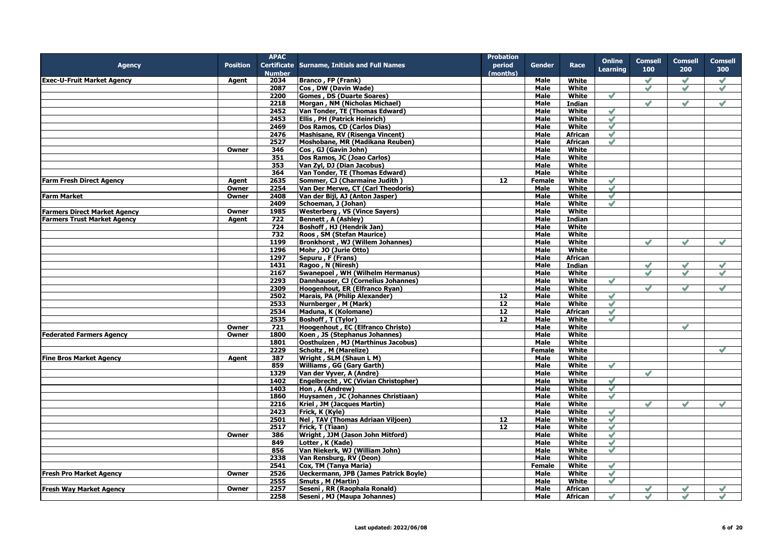|                                     |                 | <b>APAC</b>   |                                                     | <b>Probation</b> |               |                |                 |                |               |                |
|-------------------------------------|-----------------|---------------|-----------------------------------------------------|------------------|---------------|----------------|-----------------|----------------|---------------|----------------|
| <b>Agency</b>                       | <b>Position</b> |               | <b>Certificate Surname, Initials and Full Names</b> | period           | <b>Gender</b> | Race           | <b>Online</b>   | <b>Comsell</b> | Comsell       | <b>Comsell</b> |
|                                     |                 | <b>Number</b> |                                                     | (months)         |               |                | <b>Learning</b> | 100            | 200           | 300            |
| <b>Exec-U-Fruit Market Agency</b>   | Agent           | 2034          | <b>Branco, FP (Frank)</b>                           |                  | Male          | White          |                 | $\checkmark$   | $\mathscr{O}$ | $\mathscr{S}$  |
|                                     |                 | 2087          | Cos, DW (Davin Wade)                                |                  | Male          | White          |                 | $\mathscr{O}$  | $\checkmark$  | $\mathscr{S}$  |
|                                     |                 | 2200          | <b>Gomes, DS (Duarte Soares)</b>                    |                  | <b>Male</b>   | <b>White</b>   | $\mathscr{S}$   |                |               |                |
|                                     |                 | 2218          | Morgan, NM (Nicholas Michael)                       |                  | Male          | <b>Indian</b>  |                 | $\mathscr{O}$  | $\mathscr{S}$ | $\checkmark$   |
|                                     |                 | 2452          | Van Tonder, TE (Thomas Edward)                      |                  | Male          | White          | $\mathscr{S}$   |                |               |                |
|                                     |                 | 2453          | Ellis, PH (Patrick Heinrich)                        |                  | Male          | White          | $\mathscr{S}$   |                |               |                |
|                                     |                 | 2469          | Dos Ramos, CD (Carlos Dias)                         |                  | Male          | White          | $\blacklozenge$ |                |               |                |
|                                     |                 | 2476          | Mashisane, RV (Risenga Vincent)                     |                  | Male          | African        | $\mathscr{S}$   |                |               |                |
|                                     |                 | 2527          | Moshobane, MR (Madikana Reuben)                     |                  | <b>Male</b>   | <b>African</b> | $\checkmark$    |                |               |                |
|                                     | Owner           | 346           | Cos, GJ (Gavin John)                                |                  | <b>Male</b>   | White          |                 |                |               |                |
|                                     |                 | 351           | Dos Ramos, JC (Joao Carlos)                         |                  | Male          | White          |                 |                |               |                |
|                                     |                 | 353           | Van Zyl, DJ (Dian Jacobus)                          |                  | Male          | White          |                 |                |               |                |
|                                     |                 | 364           | Van Tonder, TE (Thomas Edward)                      |                  | Male          | White          |                 |                |               |                |
| <b>Farm Fresh Direct Agency</b>     | Agent           | 2635          | Sommer, CJ (Charmaine Judith)                       | 12               | <b>Female</b> | White          | $\mathscr{S}$   |                |               |                |
|                                     | Owner           | 2254          | Van Der Merwe, CT (Carl Theodoris)                  |                  | Male          | White          | $\mathscr{S}$   |                |               |                |
| <b>Farm Market</b>                  | Owner           | 2408          | Van der Bijl, AJ (Anton Jasper)                     |                  | <b>Male</b>   | White          | $\mathscr{S}$   |                |               |                |
|                                     |                 | 2409          | Schoeman, J (Johan)                                 |                  | Male          | White          | $\mathscr{S}$   |                |               |                |
| <b>Farmers Direct Market Agency</b> | Owner           | 1985          | <b>Westerberg, VS (Vince Sayers)</b>                |                  | Male          | White          |                 |                |               |                |
| <b>Farmers Trust Market Agency</b>  | Agent           | 722           | <b>Bennett, A (Ashley)</b>                          |                  | Male          | Indian         |                 |                |               |                |
|                                     |                 | 724           | Boshoff, HJ (Hendrik Jan)                           |                  | Male          | White          |                 |                |               |                |
|                                     |                 | 732           | Roos, SM (Stefan Maurice)                           |                  | <b>Male</b>   | White          |                 |                |               |                |
|                                     |                 | 1199          | <b>Bronkhorst, WJ (Willem Johannes)</b>             |                  | Male          | White          |                 | $\mathscr{S}$  | $\mathscr{S}$ | $\mathscr{S}$  |
|                                     |                 | 1296          | Mohr, JO (Jurie Otto)                               |                  | Male          | White          |                 |                |               |                |
|                                     |                 | 1297          | Sepuru, F (Frans)                                   |                  | <b>Male</b>   | <b>African</b> |                 |                |               |                |
|                                     |                 | 1431          | Ragoo, N (Niresh)                                   |                  | Male          | <b>Indian</b>  |                 | $\mathscr{S}$  | $\mathscr{S}$ | $\mathscr{S}$  |
|                                     |                 | 2167          | Swanepoel, WH (Wilhelm Hermanus)                    |                  | <b>Male</b>   | White          |                 | $\mathscr{S}$  | $\mathscr{S}$ | $\mathscr{S}$  |
|                                     |                 | 2293          | Dannhauser, CJ (Cornelius Johannes)                 |                  | Male          | White          | $\mathscr{S}$   |                |               |                |
|                                     |                 | 2309          | Hoogenhout, ER (Elfranco Ryan)                      |                  | <b>Male</b>   | White          |                 | $\mathscr{S}$  | $\mathscr{Q}$ | $\mathscr{S}$  |
|                                     |                 | 2502          | <b>Marais, PA (Philip Alexander)</b>                | 12               | Male          | White          | $\mathscr{S}$   |                |               |                |
|                                     |                 | 2533          | Nurnberger, M (Mark)                                | 12               | <b>Male</b>   | White          | $\mathscr{S}$   |                |               |                |
|                                     |                 | 2534          | Maduna, K (Kolomane)                                | 12               | Male          | <b>African</b> | $\mathscr{S}$   |                |               |                |
|                                     |                 | 2535          | <b>Boshoff, T (Tylor)</b>                           | 12               | <b>Male</b>   | White          | $\checkmark$    |                |               |                |
|                                     | Owner           | 721           | Hoogenhout, EC (Elfranco Christo)                   |                  | Male          | White          |                 |                | $\mathscr{S}$ |                |
| <b>Federated Farmers Agency</b>     | Owner           | 1800          | Koen, JS (Stephanus Johannes)                       |                  | <b>Male</b>   | White          |                 |                |               |                |
|                                     |                 | 1801          | Oosthuizen, MJ (Marthinus Jacobus)                  |                  | <b>Male</b>   | White          |                 |                |               |                |
|                                     |                 | 2229          | Scholtz, M (Marelize)                               |                  | <b>Female</b> | White          |                 |                |               | $\mathscr{S}$  |
| <b>Fine Bros Market Agency</b>      | Agent           | 387           | Wright, SLM (Shaun L M)                             |                  | Male          | White          |                 |                |               |                |
|                                     |                 | 859           | Williams, GG (Gary Garth)                           |                  | <b>Male</b>   | White          | $\mathscr{S}$   |                |               |                |
|                                     |                 | 1329          | Van der Vyver, A (Andre)                            |                  | Male          | White          |                 | $\mathscr{S}$  |               |                |
|                                     |                 | 1402          | Engelbrecht, VC (Vivian Christopher)                |                  | <b>Male</b>   | White          | $\mathscr{S}$   |                |               |                |
|                                     |                 | 1403          | Hon, A (Andrew)                                     |                  | Male          | White          | $\mathscr{S}$   |                |               |                |
|                                     |                 | 1860          | Huysamen, JC (Johannes Christiaan)                  |                  | Male          | White          | $\checkmark$    |                |               |                |
|                                     |                 | 2216          | Kriel, JM (Jacques Martin)                          |                  | Male          | White          |                 | $\mathscr{S}$  | $\mathscr{A}$ | $\mathscr{S}$  |
|                                     |                 | 2423          | Frick, K (Kyle)                                     |                  | <b>Male</b>   | White          | $\mathscr{S}$   |                |               |                |
|                                     |                 | 2501          | Nel, TAV (Thomas Adriaan Viljoen)                   | 12               | Male          | White          | $\mathscr{S}$   |                |               |                |
|                                     |                 | 2517          | <b>Frick, T (Tiaan)</b>                             | 12               | Male          | White          | $\mathscr{S}$   |                |               |                |
|                                     | Owner           | 386           | Wright, JJM (Jason John Mitford)                    |                  | Male          | White          | $\mathscr{S}$   |                |               |                |
|                                     |                 | 849           | Lotter, K (Kade)                                    |                  | Male          | White          | $\mathscr{S}$   |                |               |                |
|                                     |                 | 856           | Van Niekerk, WJ (William John)                      |                  | <b>Male</b>   | White          | $\mathscr{S}$   |                |               |                |
|                                     |                 | 2338          | Van Rensburg, RV (Deon)                             |                  | <b>Male</b>   | <b>White</b>   |                 |                |               |                |
|                                     |                 | 2541          | Cox, TM (Tanya Maria)                               |                  | <b>Female</b> | White          | $\mathscr{S}$   |                |               |                |
| <b>Fresh Pro Market Agency</b>      | Owner           | 2526          | <b>Ueckermann, JPB (James Patrick Boyle)</b>        |                  | Male          | White          | $\mathscr{S}$   |                |               |                |
|                                     |                 | 2555          | <b>Smuts, M (Martin)</b>                            |                  | <b>Male</b>   | White          | $\mathscr{O}$   |                |               |                |
| <b>Fresh Way Market Agency</b>      | Owner           | 2257          | Seseni, RR (Raophala Ronald)                        |                  | Male          | <b>African</b> |                 | $\mathscr{S}$  | $\checkmark$  | $\mathscr{S}$  |
|                                     |                 | 2258          | Seseni, MJ (Maupa Johannes)                         |                  | <b>Male</b>   | African        | $\mathscr{S}$   | $\mathscr{S}$  | $\mathscr{S}$ | $\checkmark$   |
|                                     |                 |               |                                                     |                  |               |                |                 |                |               |                |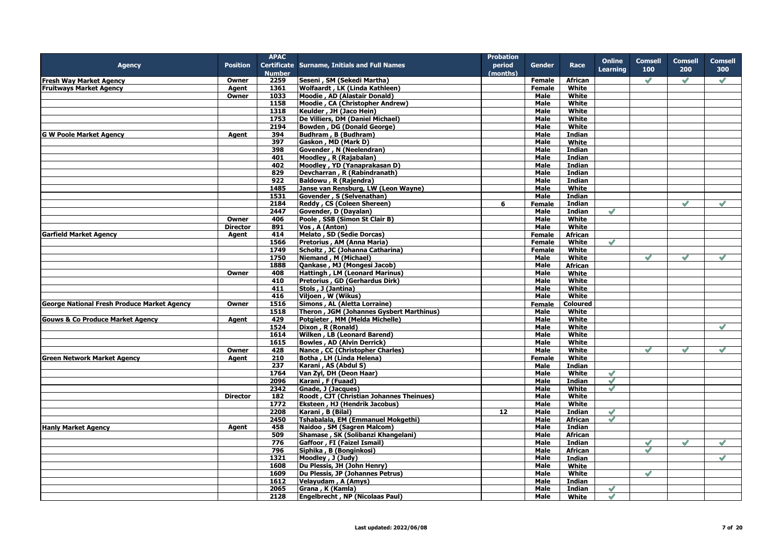|                                                    |                 | <b>APAC</b>   |                                                     | <b>Probation</b> |               |                 |                 |                |               |                |
|----------------------------------------------------|-----------------|---------------|-----------------------------------------------------|------------------|---------------|-----------------|-----------------|----------------|---------------|----------------|
| <b>Agency</b>                                      | <b>Position</b> |               | <b>Certificate Surname, Initials and Full Names</b> | period           | <b>Gender</b> | Race            | <b>Online</b>   | <b>Comsell</b> | Comsell       | <b>Comsell</b> |
|                                                    |                 | <b>Number</b> |                                                     | (months)         |               |                 | <b>Learning</b> | 100            | 200           | 300            |
| <b>Fresh Way Market Agency</b>                     | Owner           | 2259          | Seseni, SM (Sekedi Martha)                          |                  | <b>Female</b> | <b>African</b>  |                 | $\mathscr{S}$  | $\mathscr{S}$ | $\mathscr{S}$  |
| <b>Fruitways Market Agency</b>                     | Agent           | 1361          | Wolfaardt, LK (Linda Kathleen)                      |                  | Female        | White           |                 |                |               |                |
|                                                    | Owner           | 1033          | Moodie, AD (Alastair Donald)                        |                  | Male          | White           |                 |                |               |                |
|                                                    |                 | 1158          |                                                     |                  |               | White           |                 |                |               |                |
|                                                    |                 |               | Moodie, CA (Christopher Andrew)                     |                  | Male          |                 |                 |                |               |                |
|                                                    |                 | 1318          | Keulder, JH (Jaco Hein)                             |                  | Male          | White           |                 |                |               |                |
|                                                    |                 | 1753          | De Villiers, DM (Daniel Michael)                    |                  | Male          | White           |                 |                |               |                |
|                                                    |                 | 2194          | Bowden, DG (Donald George)                          |                  | Male          | White           |                 |                |               |                |
| <b>G W Poole Market Agency</b>                     | Agent           | 394           | Budhram, B (Budhram)                                |                  | Male          | Indian          |                 |                |               |                |
|                                                    |                 | 397           | Gaskon, MD (Mark D)                                 |                  | Male          | White           |                 |                |               |                |
|                                                    |                 | 398           | Govender, N (Neelendran)                            |                  | <b>Male</b>   | Indian          |                 |                |               |                |
|                                                    |                 | 401           | Moodley, R (Rajabalan)                              |                  | Male          | Indian          |                 |                |               |                |
|                                                    |                 | 402           | Moodley, YD (Yanaprakasan D)                        |                  | Male          | Indian          |                 |                |               |                |
|                                                    |                 | 829           | Devcharran, R (Rabindranath)                        |                  | <b>Male</b>   | <b>Indian</b>   |                 |                |               |                |
|                                                    |                 | 922           | Baldowu, R (Rajendra)                               |                  | <b>Male</b>   | <b>Indian</b>   |                 |                |               |                |
|                                                    |                 | 1485          | Janse van Rensburg, LW (Leon Wayne)                 |                  | Male          | White           |                 |                |               |                |
|                                                    |                 | 1531          | Govender, S (Selvenathan)                           |                  | Male          | <b>Indian</b>   |                 |                |               |                |
|                                                    |                 | 2184          | Reddy, CS (Coleen Shereen)                          | 6                | <b>Female</b> | Indian          |                 |                | $\mathscr{S}$ | $\mathscr{S}$  |
|                                                    |                 |               | Govender, D (Dayalan)                               |                  |               |                 | $\mathscr{S}$   |                |               |                |
|                                                    |                 | 2447          |                                                     |                  | Male          | Indian          |                 |                |               |                |
|                                                    | Owner           | 406           | Poole, SSB (Simon St Clair B)                       |                  | Male          | White           |                 |                |               |                |
|                                                    | <b>Director</b> | 891           | Vos, A (Anton)                                      |                  | Male          | White           |                 |                |               |                |
| <b>Garfield Market Agency</b>                      | Agent           | 414           | Melato, SD (Sedie Dorcas)                           |                  | <b>Female</b> | African         |                 |                |               |                |
|                                                    |                 | 1566          | Pretorius, AM (Anna Maria)                          |                  | Female        | White           | $\mathscr{S}$   |                |               |                |
|                                                    |                 | 1749          | Scholtz, JC (Johanna Catharina)                     |                  | Female        | White           |                 |                |               |                |
|                                                    |                 | 1750          | Niemand, M (Michael)                                |                  | Male          | White           |                 | $\mathscr{S}$  | $\mathscr{S}$ | $\mathscr{S}$  |
|                                                    |                 | 1888          | Qankase, MJ (Mongesi Jacob)                         |                  | Male          | African         |                 |                |               |                |
|                                                    | Owner           | 408           | <b>Hattingh, LM (Leonard Marinus)</b>               |                  | Male          | White           |                 |                |               |                |
|                                                    |                 | 410           | Pretorius, GD (Gerhardus Dirk)                      |                  | <b>Male</b>   | White           |                 |                |               |                |
|                                                    |                 | 411           | Stols, J (Jantina)                                  |                  | Male          | White           |                 |                |               |                |
|                                                    |                 | 416           | Viljoen, W (Wikus)                                  |                  | Male          | White           |                 |                |               |                |
| <b>George National Fresh Produce Market Agency</b> | Owner           | 1516          | Simons, AL (Aletta Lorraine)                        |                  | Female        | <b>Coloured</b> |                 |                |               |                |
|                                                    |                 | 1518          | Theron, JGM (Johannes Gysbert Marthinus)            |                  | Male          | White           |                 |                |               |                |
|                                                    |                 | 429           | Potgieter, MM (Melda Michelle)                      |                  |               | White           |                 |                |               |                |
| <b>Gouws &amp; Co Produce Market Agency</b>        | Agent           |               |                                                     |                  | Male          |                 |                 |                |               | $\mathscr{S}$  |
|                                                    |                 | 1524          | Dixon, R (Ronald)                                   |                  | Male          | White           |                 |                |               |                |
|                                                    |                 | 1614          | <b>Wilken, LB (Leonard Barend)</b>                  |                  | <b>Male</b>   | White           |                 |                |               |                |
|                                                    |                 | 1615          | <b>Bowles, AD (Alvin Derrick)</b>                   |                  | <b>Male</b>   | White           |                 |                |               |                |
|                                                    | Owner           | 428           | Nance, CC (Christopher Charles)                     |                  | <b>Male</b>   | White           |                 | $\mathscr{S}$  | $\mathscr{S}$ | $\mathscr{S}$  |
| <b>Green Network Market Agency</b>                 | Agent           | 210           | Botha, LH (Linda Helena)                            |                  | Female        | White           |                 |                |               |                |
|                                                    |                 | 237           | Karani, AS (Abdul S)                                |                  | Male          | <b>Indian</b>   |                 |                |               |                |
|                                                    |                 | 1764          | Van Zyl, DH (Deon Haar)                             |                  | Male          | White           | $\mathscr{S}$   |                |               |                |
|                                                    |                 | 2096          | Karani, F (Fuaad)                                   |                  | Male          | <b>Indian</b>   | $\mathscr{S}$   |                |               |                |
|                                                    |                 | 2342          | Gnade, J (Jacques)                                  |                  | Male          | White           | $\mathscr{S}$   |                |               |                |
|                                                    | <b>Director</b> | 182           | Roodt, CJT (Christian Johannes Theinues)            |                  | Male          | White           |                 |                |               |                |
|                                                    |                 | 1772          | Eksteen, HJ (Hendrik Jacobus)                       |                  | Male          | White           |                 |                |               |                |
|                                                    |                 | 2208          | Karani, B (Bilal)                                   | 12 <sup>12</sup> | Male          | Indian          | $\mathscr{S}$   |                |               |                |
|                                                    |                 | 2450          | Tshabalala, EM (Emmanuel Mokgethi)                  |                  | Male          | <b>African</b>  | $\mathscr{S}$   |                |               |                |
| <b>Hanly Market Agency</b>                         | Agent           | 458           | Naidoo, SM (Sagren Malcom)                          |                  | Male          | Indian          |                 |                |               |                |
|                                                    |                 | 509           | Shamase, SK (Solibanzi Khangelani)                  |                  | Male          | <b>African</b>  |                 |                |               |                |
|                                                    |                 | 776           | Gaffoor, FI (Faizel Ismail)                         |                  | <b>Male</b>   | <b>Indian</b>   |                 |                | $\mathscr{S}$ | $\mathscr{S}$  |
|                                                    |                 |               |                                                     |                  |               |                 |                 | $\mathscr{O}$  |               |                |
|                                                    |                 | 796           | Siphika, B (Bonginkosi)                             |                  | <b>Male</b>   | <b>African</b>  |                 | $\mathscr{S}$  |               |                |
|                                                    |                 | 1321          | Moodley, J (Judy)                                   |                  | Male          | Indian          |                 |                |               | $\mathscr{S}$  |
|                                                    |                 | 1608          | Du Plessis, JH (John Henry)                         |                  | Male          | White           |                 |                |               |                |
|                                                    |                 | 1609          | Du Plessis, JP (Johannes Petrus)                    |                  | <b>Male</b>   | White           |                 | $\mathscr{Q}$  |               |                |
|                                                    |                 | 1612          | Velayudam, A (Amys)                                 |                  | Male          | Indian          |                 |                |               |                |
|                                                    |                 | 2065          | Grana, K (Kamla)                                    |                  | Male          | Indian          | $\mathscr{S}$   |                |               |                |
|                                                    |                 | 2128          | Engelbrecht, NP (Nicolaas Paul)                     |                  | <b>Male</b>   | White           | $\mathscr{S}$   |                |               |                |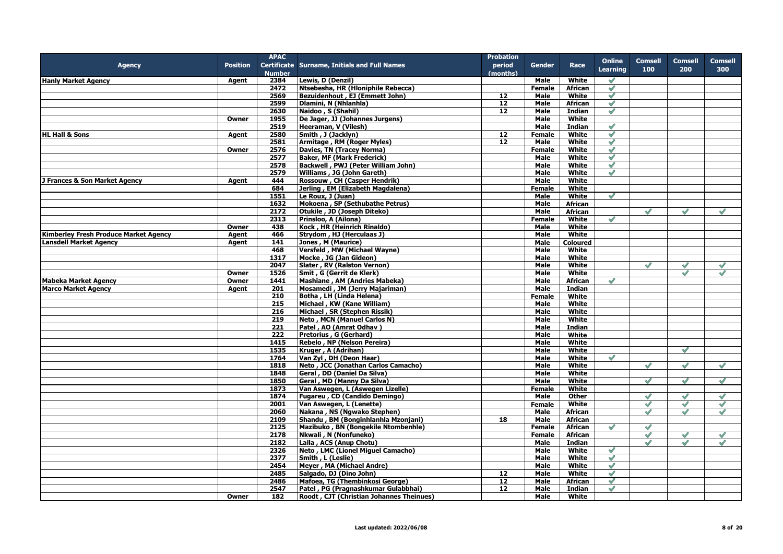|                                              |                 | <b>APAC</b>   |                                              | <b>Probation</b>  |               |                 |                 |                |                |                |
|----------------------------------------------|-----------------|---------------|----------------------------------------------|-------------------|---------------|-----------------|-----------------|----------------|----------------|----------------|
| <b>Agency</b>                                | <b>Position</b> |               | Certificate Surname, Initials and Full Names | period            | <b>Gender</b> | Race            | <b>Online</b>   | <b>Comsell</b> | <b>Comsell</b> | <b>Comsell</b> |
|                                              |                 | <b>Number</b> |                                              | (months)          |               |                 | <b>Learning</b> | 100            | 200            | 300            |
| <b>Hanly Market Agency</b>                   | Agent           | 2384          | Lewis, D (Denzil)                            |                   | Male          | White           | $\mathscr{S}$   |                |                |                |
|                                              |                 | 2472          | Ntsebesha, HR (Hloniphile Rebecca)           |                   | <b>Female</b> | African         | $\mathscr{S}$   |                |                |                |
|                                              |                 | 2569          | Bezuidenhout, EJ (Emmett John)               | 12                | Male          | White           | $\mathscr{S}$   |                |                |                |
|                                              |                 | 2599          | Dlamini, N (Nhlanhla)                        | 12                | Male          | <b>African</b>  | $\mathscr{S}$   |                |                |                |
|                                              |                 | 2630          | Naidoo, S (Shahil)                           | 12                | Male          | Indian          | $\mathscr{S}$   |                |                |                |
|                                              | Owner           | 1955          | De Jager, JJ (Johannes Jurgens)              |                   | <b>Male</b>   | White           |                 |                |                |                |
|                                              |                 | 2519          | Heeraman, V (Vilesh)                         |                   | <b>Male</b>   | <b>Indian</b>   | $\checkmark$    |                |                |                |
|                                              |                 |               |                                              |                   |               |                 |                 |                |                |                |
| <b>HL Hall &amp; Sons</b>                    | Agent           | 2580          | Smith, J (Jacklyn)                           | 12                | Female        | White           | $\mathscr{S}$   |                |                |                |
|                                              |                 | 2581          | Armitage, RM (Roger Myles)                   | 12                | Male          | White           | $\mathscr{S}$   |                |                |                |
|                                              | Owner           | 2576          | Davies, TN (Tracey Norma)                    |                   | Female        | White           | $\mathscr{S}$   |                |                |                |
|                                              |                 | 2577          | <b>Baker, MF (Mark Frederick)</b>            |                   | <b>Male</b>   | White           | $\sqrt{}$       |                |                |                |
|                                              |                 | 2578          | Backwell, PWJ (Peter William John)           |                   | Male          | White           | $\mathscr{S}$   |                |                |                |
|                                              |                 | 2579          | Williams, JG (John Gareth)                   |                   | <b>Male</b>   | White           | $\mathcal Q$    |                |                |                |
| J Frances & Son Market Agency                | Agent           | 444           | Rossouw, CH (Casper Hendrik)                 |                   | Male          | White           |                 |                |                |                |
|                                              |                 | 684           | Jerling, EM (Elizabeth Magdalena)            |                   | <b>Female</b> | <b>White</b>    |                 |                |                |                |
|                                              |                 | 1551          | Le Roux, J (Juan)                            |                   | Male          | White           | $\checkmark$    |                |                |                |
|                                              |                 | 1632          | Mokoena, SP (Sethubathe Petrus)              |                   | Male          | <b>African</b>  |                 |                |                |                |
|                                              |                 | 2172          | Otukile, JD (Joseph Diteko)                  |                   | Male          | African         |                 | $\mathscr{A}$  | $\mathscr{S}$  | $\mathscr{S}$  |
|                                              |                 | 2313          | Prinsloo, A (Ailona)                         |                   | Female        | White           | $\mathscr{S}$   |                |                |                |
|                                              | Owner           | 438           | Kock, HR (Heinrich Rinaldo)                  |                   | Male          | White           |                 |                |                |                |
| <b>Kimberley Fresh Produce Market Agency</b> | Agent           | 466           | Strydom, HJ (Herculaas J)                    |                   | Male          | White           |                 |                |                |                |
| <b>Lansdell Market Agency</b>                | Agent           | 141           | Jones, M (Maurice)                           |                   | Male          | <b>Coloured</b> |                 |                |                |                |
|                                              |                 | 468           | Versfeld, MW (Michael Wayne)                 |                   | Male          | White           |                 |                |                |                |
|                                              |                 |               |                                              |                   |               |                 |                 |                |                |                |
|                                              |                 | 1317          | Mocke, JG (Jan Gideon)                       |                   | Male          | White           |                 |                |                |                |
|                                              |                 | 2047          | Slater, RV (Ralston Vernon)                  |                   | Male          | White           |                 | $\mathscr{S}$  | $\checkmark$   |                |
|                                              | Owner           | 1526          | Smit, G (Gerrit de Klerk)                    |                   | Male          | White           |                 |                | $\mathscr{Q}$  | $\mathscr{S}$  |
| <b>Mabeka Market Agency</b>                  | Owner           | 1441          | Mashiane, AM (Andries Mabeka)                |                   | Male          | <b>African</b>  | $\mathscr{S}$   |                |                |                |
| <b>Marco Market Agency</b>                   | Agent           | 201           | Mosamedi, JM (Jerry Majariman)               |                   | Male          | Indian          |                 |                |                |                |
|                                              |                 | 210           | Botha, LH (Linda Helena)                     |                   | Female        | White           |                 |                |                |                |
|                                              |                 | 215           | Michael, KW (Kane William)                   |                   | Male          | White           |                 |                |                |                |
|                                              |                 | 216           | Michael, SR (Stephen Rissik)                 |                   | <b>Male</b>   | <b>White</b>    |                 |                |                |                |
|                                              |                 | 219           | <b>Neto, MCN (Manuel Carlos N)</b>           |                   | Male          | White           |                 |                |                |                |
|                                              |                 | 221           | Patel, AO (Amrat Odhav)                      |                   | Male          | Indian          |                 |                |                |                |
|                                              |                 | 222           | Pretorius, G (Gerhard)                       |                   | Male          | White           |                 |                |                |                |
|                                              |                 | 1415          | Rebelo, NP (Nelson Pereira)                  |                   | Male          | White           |                 |                |                |                |
|                                              |                 | 1535          | Kruger, A (Adrihan)                          |                   | Male          | White           |                 |                | $\mathscr{S}$  |                |
|                                              |                 | 1764          | Van Zyl, DH (Deon Haar)                      |                   | Male          | White           | $\mathscr{S}$   |                |                |                |
|                                              |                 | 1818          | Neto, JCC (Jonathan Carlos Camacho)          |                   | Male          | <b>White</b>    |                 | $\mathscr{Q}$  | $\mathscr{Q}$  | $\mathscr{S}$  |
|                                              |                 | 1848          | Geral, DD (Daniel Da Silva)                  |                   | Male          | White           |                 |                |                |                |
|                                              |                 | 1850          | Geral, MD (Manny Da Silva)                   |                   | Male          | White           |                 | $\mathscr{S}$  | $\mathscr{S}$  | $\mathscr{S}$  |
|                                              |                 | 1873          | Van Aswegen, L (Aswegen Lizelle)             |                   | <b>Female</b> | White           |                 |                |                |                |
|                                              |                 | 1874          | Fugareu, CD (Candido Demingo)                |                   | <b>Male</b>   | <b>Other</b>    |                 | $\mathscr{S}$  | $\mathscr{S}$  | $\mathscr{S}$  |
|                                              |                 |               |                                              |                   |               | White           |                 | $\mathcal{S}$  | $\mathscr{O}$  | $\checkmark$   |
|                                              |                 | 2001          | Van Aswegen, L (Lenette)                     |                   | <b>Female</b> |                 |                 | $\mathscr{O}$  | $\mathscr{O}$  |                |
|                                              |                 | 2060          | Nakana, NS (Ngwako Stephen)                  |                   | Male          | <b>African</b>  |                 |                |                | $\checkmark$   |
|                                              |                 | 2109          | Shandu, BM (Bonginhlanhla Mzonjani)          | 18                | <b>Male</b>   | <b>African</b>  |                 |                |                |                |
|                                              |                 | 2125          | Mazibuko, BN (Bongekile Ntombenhle)          |                   | Female        | <b>African</b>  | $\mathscr{S}$   | $\mathscr{S}$  |                |                |
|                                              |                 | 2178          | Nkwali, N (Nonfuneko)                        |                   | Female        | <b>African</b>  |                 | $\mathscr{S}$  | $\mathscr{S}$  | $\sqrt{}$      |
|                                              |                 | 2182          | Lalla, ACS (Anup Chotu)                      |                   | Male          | Indian          |                 |                |                |                |
|                                              |                 | 2326          | Neto, LMC (Lionel Miguel Camacho)            |                   | Male          | <b>White</b>    | $\checkmark$    |                |                |                |
|                                              |                 | 2377          | Smith, L (Leslie)                            |                   | Male          | White           | $\mathscr{S}$   |                |                |                |
|                                              |                 | 2454          | Meyer, MA (Michael Andre)                    |                   | Male          | White           | $\mathscr{S}$   |                |                |                |
|                                              |                 | 2485          | Salgado, DJ (Dino John)                      | $12 \overline{ }$ | <b>Male</b>   | White           | $\mathscr{S}$   |                |                |                |
|                                              |                 | 2486          | Mafoea, TG (Thembinkosi George)              | 12                | Male          | African         | $\checkmark$    |                |                |                |
|                                              |                 | 2547          | Patel, PG (Pragnashkumar Gulabbhai)          | 12                | Male          | <b>Indian</b>   | $\mathscr{S}$   |                |                |                |
|                                              | Owner           | 182           | Roodt, CJT (Christian Johannes Theinues)     |                   | Male          | White           |                 |                |                |                |
|                                              |                 |               |                                              |                   |               |                 |                 |                |                |                |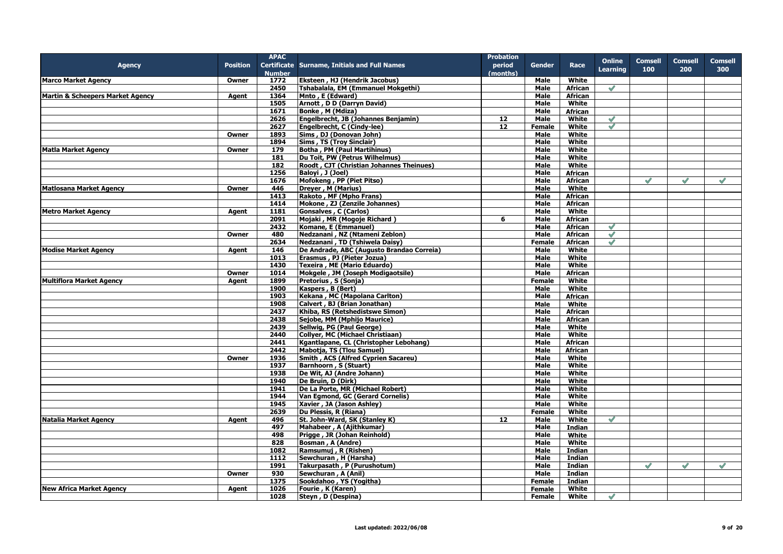|                                             |                 | <b>APAC</b>   |                                              | <b>Probation</b> |               |                |               |                |               |                |
|---------------------------------------------|-----------------|---------------|----------------------------------------------|------------------|---------------|----------------|---------------|----------------|---------------|----------------|
| <b>Agency</b>                               | <b>Position</b> |               | Certificate Surname, Initials and Full Names | period           | <b>Gender</b> | Race           | <b>Online</b> | <b>Comsell</b> | Comsell       | <b>Comsell</b> |
|                                             |                 | <b>Number</b> |                                              | (months)         |               |                | Learning      | 100            | 200           | 300            |
| <b>Marco Market Agency</b>                  | Owner           | 1772          | Eksteen, HJ (Hendrik Jacobus)                |                  | Male          | White          |               |                |               |                |
|                                             |                 | 2450          | Tshabalala, EM (Emmanuel Mokgethi)           |                  | Male          | African        | $\mathscr{S}$ |                |               |                |
| <b>Martin &amp; Scheepers Market Agency</b> | Agent           | 1364          | Mnto, E (Edward)                             |                  | <b>Male</b>   | <b>African</b> |               |                |               |                |
|                                             |                 | 1505          | Arnott, D D (Darryn David)                   |                  | Male          | White          |               |                |               |                |
|                                             |                 | 1671          | Bonke, M (Mdiza)                             |                  | <b>Male</b>   | <b>African</b> |               |                |               |                |
|                                             |                 | 2626          | Engelbrecht, JB (Johannes Benjamin)          | 12               | Male          | White          | $\mathscr{S}$ |                |               |                |
|                                             |                 | 2627          | Engelbrecht, C (Cindy-lee)                   | 12               | <b>Female</b> | White          | $\mathscr{S}$ |                |               |                |
|                                             | Owner           | 1893          | Sims, DJ (Donovan John)                      |                  | Male          | White          |               |                |               |                |
|                                             |                 | 1894          | Sims, TS (Troy Sinclair)                     |                  | <b>Male</b>   | White          |               |                |               |                |
| <b>Matla Market Agency</b>                  | Owner           | 179           | <b>Botha, PM (Paul Martihinus)</b>           |                  | Male          | White          |               |                |               |                |
|                                             |                 | 181           | Du Toit, PW (Petrus Wilhelmus)               |                  | Male          | White          |               |                |               |                |
|                                             |                 | 182           | Roodt, CJT (Christian Johannes Theinues)     |                  | Male          | White          |               |                |               |                |
|                                             |                 | 1256          | Balovi, J (Joel)                             |                  | <b>Male</b>   | <b>African</b> |               |                |               |                |
|                                             |                 | 1676          | Mofokeng, PP (Piet Pitso)                    |                  | Male          | African        |               | $\mathscr{S}$  | $\mathscr{S}$ | $\mathscr{S}$  |
| <b>Matlosana Market Agency</b>              | Owner           | 446           | Dreyer, M (Marius)                           |                  | <b>Male</b>   | White          |               |                |               |                |
|                                             |                 | 1413          | Rakoto, MF (Mpho Frans)                      |                  | Male          | <b>African</b> |               |                |               |                |
|                                             |                 | 1414          | Mokone, ZJ (Zenzile Johannes)                |                  | <b>Male</b>   | <b>African</b> |               |                |               |                |
| <b>Metro Market Agency</b>                  | Agent           | 1181          | Gonsalves, C (Carlos)                        |                  | Male          | White          |               |                |               |                |
|                                             |                 | 2091          | Mojaki, MR (Mogoje Richard)                  | 6                | <b>Male</b>   | African        |               |                |               |                |
|                                             |                 | 2432          | Komane, E (Emmanuel)                         |                  | Male          | African        | $\checkmark$  |                |               |                |
|                                             | Owner           | 480           | Nedzanani, NZ (Ntameni Zeblon)               |                  | Male          | African        | $\checkmark$  |                |               |                |
|                                             |                 | 2634          | Nedzanani, TD (Tshiwela Daisy)               |                  | Female        | <b>African</b> | $\mathscr{S}$ |                |               |                |
| <b>Modise Market Agency</b>                 | Agent           | 146           | De Andrade, ABC (Augusto Brandao Correia)    |                  | <b>Male</b>   | White          |               |                |               |                |
|                                             |                 | 1013          | Erasmus, PJ (Pieter Jozua)                   |                  | Male          | White          |               |                |               |                |
|                                             |                 | 1430          | Texeira, ME (Mario Eduardo)                  |                  | Male          | White          |               |                |               |                |
|                                             | Owner           | 1014          | Mokgele, JM (Joseph Modigaotsile)            |                  | Male          | <b>African</b> |               |                |               |                |
| <b>Multiflora Market Agency</b>             | Agent           | 1899          | Pretorius, S (Sonja)                         |                  | <b>Female</b> | White          |               |                |               |                |
|                                             |                 | 1900          | Kaspers, B (Bert)                            |                  | Male          | White          |               |                |               |                |
|                                             |                 | 1903          | Kekana, MC (Mapolana Carlton)                |                  | Male          | <b>African</b> |               |                |               |                |
|                                             |                 | 1908          | Calvert, BJ (Brian Jonathan)                 |                  | Male          | White          |               |                |               |                |
|                                             |                 | 2437          | Khiba, RS (Retshedistswe Simon)              |                  | <b>Male</b>   | <b>African</b> |               |                |               |                |
|                                             |                 | 2438          | Sejobe, MM (Mphijo Maurice)                  |                  | Male          | African        |               |                |               |                |
|                                             |                 | 2439          | Sellwig, PG (Paul George)                    |                  | Male          | White          |               |                |               |                |
|                                             |                 | 2440          | <b>Collyer, MC (Michael Christiaan)</b>      |                  | <b>Male</b>   | White          |               |                |               |                |
|                                             |                 | 2441          | Kgantlapane, CL (Christopher Lebohang)       |                  | Male          | <b>African</b> |               |                |               |                |
|                                             |                 | 2442          | <b>Mabotja, TS (Tlou Samuel)</b>             |                  | Male          | African        |               |                |               |                |
|                                             | Owner           | 1936          | Smith, ACS (Alfred Cyprien Sacareu)          |                  | Male          | White          |               |                |               |                |
|                                             |                 | 1937          | <b>Barnhoorn, S (Stuart)</b>                 |                  | Male          | White          |               |                |               |                |
|                                             |                 | 1938          | De Wit, AJ (Andre Johann)                    |                  | Male          | White          |               |                |               |                |
|                                             |                 | 1940          | De Bruin, D (Dirk)                           |                  | Male          | White          |               |                |               |                |
|                                             |                 | 1941          | De La Porte, MR (Michael Robert)             |                  | <b>Male</b>   | White          |               |                |               |                |
|                                             |                 | 1944          | Van Egmond, GC (Gerard Cornelis)             |                  | Male          | White          |               |                |               |                |
|                                             |                 | 1945          | Xavier, JA (Jason Ashley)                    |                  | <b>Male</b>   | White          |               |                |               |                |
|                                             |                 | 2639          | Du Plessis, R (Riana)                        |                  | Female        | White          |               |                |               |                |
| <b>Natalia Market Agency</b>                | Agent           | 496           | St. John-Ward, SK (Stanley K)                | 12               | <b>Male</b>   | White          | $\mathscr{S}$ |                |               |                |
|                                             |                 | 497           | Mahabeer, A (Ajithkumar)                     |                  | Male          | Indian         |               |                |               |                |
|                                             |                 | 498           | Prigge, JR (Johan Reinhold)                  |                  | Male          | White          |               |                |               |                |
|                                             |                 | 828           | Bosman, A (Andre)                            |                  | Male          | White          |               |                |               |                |
|                                             |                 | 1082          | Ramsumuj, R (Rishen)                         |                  | Male          | <b>Indian</b>  |               |                |               |                |
|                                             |                 | 1112          | Sewchuran, H (Harsha)                        |                  | Male          | Indian         |               |                |               |                |
|                                             |                 | 1991          | Takurpasath, P (Purushotum)                  |                  | Male          | Indian         |               | $\mathscr{S}$  | $\mathscr{S}$ | $\mathscr{S}$  |
|                                             | Owner           | 930           | Sewchuran, A (Anil)                          |                  | Male          | Indian         |               |                |               |                |
|                                             |                 | 1375          | Sookdahoo, YS (Yogitha)                      |                  | <b>Female</b> | Indian         |               |                |               |                |
| <b>New Africa Market Agency</b>             | Agent           | 1026          | Fourie, K (Karen)                            |                  | Female        | White          |               |                |               |                |
|                                             |                 | 1028          | Steyn, D (Despina)                           |                  | <b>Female</b> | White          | $\mathscr{S}$ |                |               |                |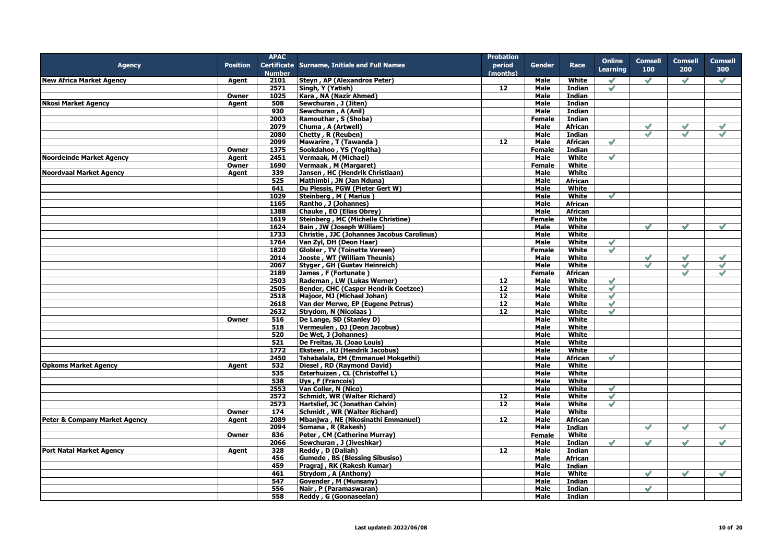|                                          |                 | <b>APAC</b>   |                                              | <b>Probation</b> |               |                |               |                |                |                |
|------------------------------------------|-----------------|---------------|----------------------------------------------|------------------|---------------|----------------|---------------|----------------|----------------|----------------|
| <b>Agency</b>                            | <b>Position</b> |               | Certificate Surname, Initials and Full Names | period           | <b>Gender</b> | Race           | <b>Online</b> | <b>Comsell</b> | <b>Comsell</b> | <b>Comsell</b> |
|                                          |                 | <b>Number</b> |                                              | (months)         |               |                | Learning      | 100            | 200            | 300            |
| <b>New Africa Market Agency</b>          | Agent           | 2101          | Steyn, AP (Alexandros Peter)                 |                  | Male          | White          | $\mathscr{S}$ | $\mathscr{S}$  | $\mathscr{S}$  | $\mathscr{S}$  |
|                                          |                 | 2571          | Singh, Y (Yatish)                            | 12               | <b>Male</b>   | Indian         | $\mathscr{S}$ |                |                |                |
|                                          | Owner           | 1025          | Kara, NA (Nazir Ahmed)                       |                  | <b>Male</b>   | Indian         |               |                |                |                |
| <b>Nkosi Market Agency</b>               | Agent           | 508           | Sewchuran, J (Jiten)                         |                  | Male          | Indian         |               |                |                |                |
|                                          |                 | 930           | Sewchuran, A (Anil)                          |                  | <b>Male</b>   | Indian         |               |                |                |                |
|                                          |                 | 2003          | Ramouthar, S (Shoba)                         |                  | <b>Female</b> | <b>Indian</b>  |               |                |                |                |
|                                          |                 | 2079          | Chuma, A (Artwell)                           |                  | <b>Male</b>   | <b>African</b> |               | $\mathscr{S}$  | $\sqrt{}$      | $\checkmark$   |
|                                          |                 | 2080          | Chetty, R (Reuben)                           |                  | Male          | Indian         |               | $\mathscr{S}$  | $\mathscr{S}$  | $\mathscr{S}$  |
|                                          |                 | 2099          | Mawarire, T (Tawanda)                        | 12               | Male          | <b>African</b> | $\mathscr{S}$ |                |                |                |
|                                          | Owner           | 1375          | Sookdahoo, YS (Yogitha)                      |                  | <b>Female</b> | Indian         |               |                |                |                |
| <b>Noordeinde Market Agency</b>          | Agent           | 2451          | Vermaak, M (Michael)                         |                  | <b>Male</b>   | White          | $\mathscr{S}$ |                |                |                |
|                                          | Owner           | 1690          | Vermaak, M (Margaret)                        |                  | Female        | White          |               |                |                |                |
| <b>Noordvaal Market Agency</b>           | Agent           | 339           | Jansen, HC (Hendrik Christiaan)              |                  | <b>Male</b>   | <b>White</b>   |               |                |                |                |
|                                          |                 | 525           | Mathimbi, JN (Jan Nduna)                     |                  | <b>Male</b>   | African        |               |                |                |                |
|                                          |                 | 641           | Du Plessis, PGW (Pieter Gert W)              |                  | Male          | White          |               |                |                |                |
|                                          |                 | 1029          | Steinberg, M (Marius)                        |                  | Male          | White          | $\mathscr{S}$ |                |                |                |
|                                          |                 | 1165          | Rantho, J (Johannes)                         |                  | Male          | <b>African</b> |               |                |                |                |
|                                          |                 | 1388          | Chauke, EO (Elias Obrey)                     |                  | Male          | African        |               |                |                |                |
|                                          |                 | 1619          |                                              |                  |               |                |               |                |                |                |
|                                          |                 | 1624          | <b>Steinberg, MC (Michelle Christine)</b>    |                  | Female        | White<br>White |               | $\checkmark$   | ہے             | $\checkmark$   |
|                                          |                 |               | Bain, JW (Joseph William)                    |                  | Male          |                |               |                |                |                |
|                                          |                 | 1733          | Christie, JJC (Johannes Jacobus Carolinus)   |                  | Male          | White          |               |                |                |                |
|                                          |                 | 1764          | Van Zyl, DH (Deon Haar)                      |                  | <b>Male</b>   | <b>White</b>   | $\mathcal{S}$ |                |                |                |
|                                          |                 | 1820          | Globler, TV (Toinette Vereen)                |                  | Female        | White          | $\mathscr{S}$ |                |                |                |
|                                          |                 | 2014          | Jooste, WT (William Theunis)                 |                  | Male          | White          |               | $\mathscr{S}$  | $\checkmark$   | $\checkmark$   |
|                                          |                 | 2067          | Styger, GH (Gustav Heinreich)                |                  | <b>Male</b>   | White          |               | $\mathscr{S}$  | $\mathscr{S}$  | $\checkmark$   |
|                                          |                 | 2189          | James, F (Fortunate)                         |                  | <b>Female</b> | <b>African</b> |               |                |                | $\mathscr{S}$  |
|                                          |                 | 2503          | Rademan, LW (Lukas Werner)                   | 12               | <b>Male</b>   | White          | $\mathscr{S}$ |                |                |                |
|                                          |                 | 2505          | Bender, CHC (Casper Hendrik Coetzee)         | 12               | <b>Male</b>   | White          | $\mathscr{S}$ |                |                |                |
|                                          |                 | 2518          | Maioor, MJ (Michael Johan)                   | $\overline{12}$  | <b>Male</b>   | White          | $\checkmark$  |                |                |                |
|                                          |                 | 2618          | Van der Merwe, EP (Eugene Petrus)            | 12               | Male          | White          | $\mathscr{S}$ |                |                |                |
|                                          |                 | 2632          | Strydom, N (Nicolaas)                        | 12               | Male          | White          | $\mathscr{S}$ |                |                |                |
|                                          | Owner           | 516           | De Lange, SD (Stanley D)                     |                  | Male          | White          |               |                |                |                |
|                                          |                 | 518           | Vermeulen, DJ (Deon Jacobus)                 |                  | Male          | White          |               |                |                |                |
|                                          |                 | 520           | De Wet, J (Johannes)                         |                  | <b>Male</b>   | White          |               |                |                |                |
|                                          |                 | 521           | De Freitas, JL (Joao Louis)                  |                  | <b>Male</b>   | White          |               |                |                |                |
|                                          |                 | 1772          | Eksteen, HJ (Hendrik Jacobus)                |                  | Male          | White          |               |                |                |                |
|                                          |                 | 2450          | Tshabalala, EM (Emmanuel Mokgethi)           |                  | Male          | African        | $\mathscr{S}$ |                |                |                |
| <b>Opkoms Market Agency</b>              | Agent           | 532           | Diesel, RD (Raymond David)                   |                  | Male          | <b>White</b>   |               |                |                |                |
|                                          |                 | 535           | Esterhuizen, CL (Christoffel L)              |                  | Male          | White          |               |                |                |                |
|                                          |                 | 538           | Uys, F (Francois)                            |                  | Male          | White          |               |                |                |                |
|                                          |                 | 2553          | Van Coller, N (Nico)                         |                  | <b>Male</b>   | White          | $\mathscr{O}$ |                |                |                |
|                                          |                 | 2572          | Schmidt, WR (Walter Richard)                 | 12               | Male          | White          | $\mathscr{S}$ |                |                |                |
|                                          |                 | 2573          | Hartslief, JC (Jonathan Calvin)              | 12               | Male          | White          | $\mathscr{S}$ |                |                |                |
|                                          | Owner           | 174           | Schmidt, WR (Walter Richard)                 |                  | Male          | White          |               |                |                |                |
| <b>Peter &amp; Company Market Agency</b> | Agent           | 2089          | Mbanjwa, NE (Nkosinathi Emmanuel)            | 12               | <b>Male</b>   | <b>African</b> |               |                |                |                |
|                                          |                 | 2094          | Somana, R (Rakesh)                           |                  | Male          | <b>Indian</b>  |               | $\mathscr{S}$  | $\mathscr{S}$  | $\mathscr{S}$  |
|                                          | Owner           | 836           | Peter, CM (Catherine Murray)                 |                  | <b>Female</b> | White          |               |                |                |                |
|                                          |                 | 2066          | Sewchuran, J (Jiveshkar)                     |                  | <b>Male</b>   | Indian         | $\mathscr{S}$ | $\mathscr{S}$  |                |                |
| <b>Port Natal Market Agency</b>          | Agent           | 328           | Reddy, D (Daliah)                            | $\overline{12}$  | Male          | Indian         |               |                |                |                |
|                                          |                 | 456           | <b>Gumede, BS (Blessing Sibusiso)</b>        |                  | Male          | <b>African</b> |               |                |                |                |
|                                          |                 | 459           | Pragraj, RK (Rakesh Kumar)                   |                  | Male          | Indian         |               |                |                |                |
|                                          |                 | 461           | Strydom, A (Anthony)                         |                  | <b>Male</b>   | White          |               | $\mathscr{S}$  | $\mathscr{Q}$  | $\mathscr{S}$  |
|                                          |                 | 547           | Govender, M (Munsany)                        |                  | Male          | <b>Indian</b>  |               |                |                |                |
|                                          |                 | 556           | Nair, P (Paramaswaran)                       |                  | Male          | <b>Indian</b>  |               | $\mathscr{S}$  |                |                |
|                                          |                 | 558           | Reddy, G (Goonaseelan)                       |                  | Male          | Indian         |               |                |                |                |
|                                          |                 |               |                                              |                  |               |                |               |                |                |                |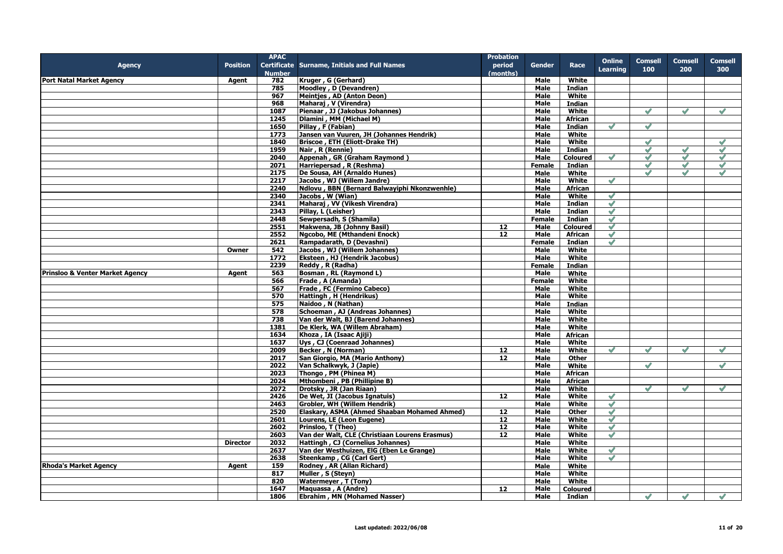|                                            |                 | <b>APAC</b>   |                                                | <b>Probation</b>  |               |                 |                 |                |               |                |
|--------------------------------------------|-----------------|---------------|------------------------------------------------|-------------------|---------------|-----------------|-----------------|----------------|---------------|----------------|
| <b>Agency</b>                              | <b>Position</b> |               | Certificate Surname, Initials and Full Names   | period            | Gender        | Race            | <b>Online</b>   | <b>Comsell</b> | Comsell       | <b>Comsell</b> |
|                                            |                 | <b>Number</b> |                                                | (months)          |               |                 | <b>Learning</b> | 100            | 200           | 300            |
| <b>Port Natal Market Agency</b>            | Agent           | 782           | Kruger, G (Gerhard)                            |                   | Male          | White           |                 |                |               |                |
|                                            |                 | 785           | Moodley, D (Devandren)                         |                   | Male          | Indian          |                 |                |               |                |
|                                            |                 | 967           |                                                |                   |               |                 |                 |                |               |                |
|                                            |                 |               | Meintjes, AD (Anton Deon)                      |                   | Male          | White           |                 |                |               |                |
|                                            |                 | 968           | Maharaj, V (Virendra)                          |                   | Male          | Indian          |                 |                |               |                |
|                                            |                 | 1087          | Pienaar, JJ (Jakobus Johannes)                 |                   | Male          | White           |                 | $\mathscr{S}$  | $\mathscr{S}$ | $\mathscr{S}$  |
|                                            |                 | 1245          | Dlamini, MM (Michael M)                        |                   | Male          | <b>African</b>  |                 |                |               |                |
|                                            |                 | 1650          | Pillay, F (Fabian)                             |                   | Male          | <b>Indian</b>   | $\mathscr{Q}$   | $\mathscr{Q}$  |               |                |
|                                            |                 | 1773          | Jansen van Vuuren, JH (Johannes Hendrik)       |                   | Male          | White           |                 |                |               |                |
|                                            |                 | 1840          | Briscoe, ETH (Eliott-Drake TH)                 |                   | Male          | White           |                 | $\mathscr{S}$  |               | $\mathscr{O}$  |
|                                            |                 | 1959          | Nair, R (Rennie)                               |                   | <b>Male</b>   | Indian          |                 | $\checkmark$   | $\checkmark$  | $\checkmark$   |
|                                            |                 | 2040          | Appenah, GR (Graham Raymond)                   |                   | Male          | <b>Coloured</b> | $\mathscr{S}$   | $\mathscr{S}$  | $\mathscr{S}$ | $\mathscr{S}$  |
|                                            |                 | 2071          | Harriepersad, R (Reshma)                       |                   | Female        | Indian          |                 | $\mathscr{S}$  | $\mathscr{S}$ | $\mathscr{S}$  |
|                                            |                 | 2175          | De Sousa, AH (Arnaldo Hunes)                   |                   | Male          | White           |                 | $\checkmark$   | $\sqrt{}$     | $\checkmark$   |
|                                            |                 | 2217          | Jacobs, WJ (Willem Jandre)                     |                   | <b>Male</b>   | White           | $\mathscr{S}$   |                |               |                |
|                                            |                 | 2240          | Ndlovu, BBN (Bernard Balwayiphi Nkonzwenhle)   |                   | Male          | African         |                 |                |               |                |
|                                            |                 | 2340          | Jacobs, W (Wian)                               |                   | Male          | White           | $\blacklozenge$ |                |               |                |
|                                            |                 | 2341          | Maharaj, VV (Vikesh Virendra)                  |                   | <b>Male</b>   | <b>Indian</b>   | $\mathscr{S}$   |                |               |                |
|                                            |                 | 2343          | Pillay, L (Leisher)                            |                   | Male          | <b>Indian</b>   | $\mathscr{S}$   |                |               |                |
|                                            |                 | 2448          |                                                |                   |               | <b>Indian</b>   | $\mathscr{S}$   |                |               |                |
|                                            |                 |               | Sewpersadh, S (Shamila)                        |                   | Female        |                 |                 |                |               |                |
|                                            |                 | 2551          | Makwena, JB (Johnny Basil)                     | 12                | Male          | <b>Coloured</b> | $\checkmark$    |                |               |                |
|                                            |                 | 2552          | Ngcobo, ME (Mthandeni Enock)                   | 12                | Male          | <b>African</b>  | $\blacklozenge$ |                |               |                |
|                                            |                 | 2621          | Rampadarath, D (Devashni)                      |                   | <b>Female</b> | <b>Indian</b>   | $\mathscr S$    |                |               |                |
|                                            | Owner           | 542           | Jacobs, WJ (Willem Johannes)                   |                   | Male          | White           |                 |                |               |                |
|                                            |                 | 1772          | Eksteen, HJ (Hendrik Jacobus)                  |                   | <b>Male</b>   | <b>White</b>    |                 |                |               |                |
|                                            |                 | 2239          | Reddy, R (Radha)                               |                   | Female        | Indian          |                 |                |               |                |
| <b>Prinsloo &amp; Venter Market Agency</b> | Agent           | 563           | Bosman, RL (Raymond L)                         |                   | <b>Male</b>   | White           |                 |                |               |                |
|                                            |                 | 566           | Frade, A (Amanda)                              |                   | <b>Female</b> | White           |                 |                |               |                |
|                                            |                 | 567           | Frade, FC (Fermino Cabeco)                     |                   | Male          | White           |                 |                |               |                |
|                                            |                 | 570           | Hattingh, H (Hendrikus)                        |                   | Male          | White           |                 |                |               |                |
|                                            |                 | 575           | Naidoo, N (Nathan)                             |                   | Male          | Indian          |                 |                |               |                |
|                                            |                 | 578           | Schoeman, AJ (Andreas Johannes)                |                   | Male          | <b>White</b>    |                 |                |               |                |
|                                            |                 | 738           | Van der Walt, BJ (Barend Johannes)             |                   | Male          | White           |                 |                |               |                |
|                                            |                 | 1381          | De Klerk, WA (Willem Abraham)                  |                   | Male          | White           |                 |                |               |                |
|                                            |                 | 1634          | Khoza, IA (Isaac Ajiji)                        |                   | Male          | African         |                 |                |               |                |
|                                            |                 | 1637          | Uys, CJ (Coenraad Johannes)                    |                   | Male          | White           |                 |                |               |                |
|                                            |                 |               |                                                |                   |               |                 |                 |                |               |                |
|                                            |                 | 2009          | Becker, N (Norman)                             | 12                | Male          | White           | $\mathscr{S}$   | $\mathscr{S}$  | $\mathscr{S}$ | $\mathscr{S}$  |
|                                            |                 | 2017          | San Giorgio, MA (Mario Anthony)                | $12 \overline{ }$ | Male          | <b>Other</b>    |                 |                |               |                |
|                                            |                 | 2022          | Van Schalkwyk, J (Japie)                       |                   | Male          | White           |                 | $\mathscr{S}$  |               | $\mathscr{S}$  |
|                                            |                 | 2023          | Thongo, PM (Phinea M)                          |                   | Male          | African         |                 |                |               |                |
|                                            |                 | 2024          | Mthombeni, PB (Phillipine B)                   |                   | Male          | African         |                 |                |               |                |
|                                            |                 | 2072          | Drotsky, JR (Jan Riaan)                        |                   | Male          | White           |                 | $\mathscr{Q}$  |               | $\mathscr{S}$  |
|                                            |                 | 2426          | De Wet, JI (Jacobus Ignatuis)                  | 12                | <b>Male</b>   | White           | $\mathscr{S}$   |                |               |                |
|                                            |                 | 2463          | Grobler, WH (Willem Hendrik)                   |                   | <b>Male</b>   | <b>White</b>    | $\mathscr{S}$   |                |               |                |
|                                            |                 | 2520          | Elaskary, ASMA (Ahmed Shaaban Mohamed Ahmed)   | 12                | Male          | <b>Other</b>    | $\mathscr{S}$   |                |               |                |
|                                            |                 | 2601          | Lourens, LE (Leon Eugene)                      | 12                | <b>Male</b>   | <b>White</b>    | $\mathscr{S}$   |                |               |                |
|                                            |                 | 2602          | Prinsloo, T (Theo)                             | $\overline{12}$   | Male          | White           | $\mathcal Q$    |                |               |                |
|                                            |                 | 2603          | Van der Walt, CLE (Christiaan Lourens Erasmus) | 12                | Male          | White           | $\mathscr{S}$   |                |               |                |
|                                            | <b>Director</b> | 2032          | Hattingh, CJ (Cornelius Johannes)              |                   | Male          | White           |                 |                |               |                |
|                                            |                 | 2637          | Van der Westhuizen, EIG (Eben Le Grange)       |                   | Male          | White           | $\checkmark$    |                |               |                |
|                                            |                 | 2638          | Steenkamp, CG (Carl Gert)                      |                   | Male          | White           | $\mathscr{S}$   |                |               |                |
| <b>Rhoda's Market Agency</b>               | Agent           | 159           | Rodney, AR (Allan Richard)                     |                   | Male          | White           |                 |                |               |                |
|                                            |                 | 817           | Muller, S (Steyn)                              |                   | <b>Male</b>   | White           |                 |                |               |                |
|                                            |                 | 820           |                                                |                   |               | White           |                 |                |               |                |
|                                            |                 |               | <b>Watermeyer, T (Tony)</b>                    |                   | Male          |                 |                 |                |               |                |
|                                            |                 | 1647          | Maquassa, A (Andre)                            | 12                | Male          | <b>Coloured</b> |                 |                |               |                |
|                                            |                 | 1806          | <b>Ebrahim, MN (Mohamed Nasser)</b>            |                   | Male          | Indian          |                 | $\checkmark$   | $\mathscr{S}$ | $\checkmark$   |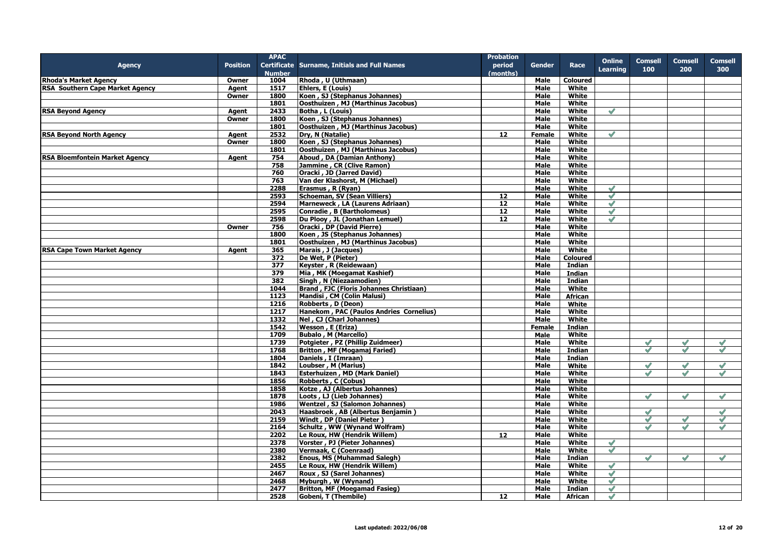|                                        |                 | <b>APAC</b>   |                                                | <b>Probation</b>  |               |                 |                 |                      |                          |                |
|----------------------------------------|-----------------|---------------|------------------------------------------------|-------------------|---------------|-----------------|-----------------|----------------------|--------------------------|----------------|
| <b>Agency</b>                          | <b>Position</b> |               | Certificate Surname, Initials and Full Names   | period            | <b>Gender</b> | Race            | <b>Online</b>   | <b>Comsell</b>       | <b>Comsell</b>           | <b>Comsell</b> |
|                                        |                 | <b>Number</b> |                                                | (months)          |               |                 | <b>Learning</b> | 100                  | 200                      | 300            |
| <b>Rhoda's Market Agency</b>           | Owner           | 1004          | Rhoda, U (Uthmaan)                             |                   | Male          | <b>Coloured</b> |                 |                      |                          |                |
| <b>RSA Southern Cape Market Agency</b> | Agent           | 1517          | Ehlers, E (Louis)                              |                   | Male          | White           |                 |                      |                          |                |
|                                        | Owner           | 1800          | Koen, SJ (Stephanus Johannes)                  |                   | Male          | White           |                 |                      |                          |                |
|                                        |                 | 1801          | Oosthuizen, MJ (Marthinus Jacobus)             |                   | Male          | White           |                 |                      |                          |                |
| <b>RSA Beyond Agency</b>               | Agent           | 2433          | Botha, L (Louis)                               |                   | Male          | White           | $\mathscr{S}$   |                      |                          |                |
|                                        | Owner           | 1800          | Koen, SJ (Stephanus Johannes)                  |                   | Male          | White           |                 |                      |                          |                |
|                                        |                 | 1801          | Oosthuizen, MJ (Marthinus Jacobus)             |                   | Male          | White           |                 |                      |                          |                |
| <b>RSA Beyond North Agency</b>         | Agent           | 2532          | Dry, N (Natalie)                               | $12 \overline{ }$ | Female        | White           | $\mathscr{S}$   |                      |                          |                |
|                                        | Owner           | 1800          | Koen, SJ (Stephanus Johannes)                  |                   | Male          | White           |                 |                      |                          |                |
|                                        |                 | 1801          | <b>Oosthuizen, MJ (Marthinus Jacobus)</b>      |                   | <b>Male</b>   | White           |                 |                      |                          |                |
| <b>RSA Bloemfontein Market Agency</b>  | Agent           | 754           | Aboud, DA (Damian Anthony)                     |                   | Male          | White           |                 |                      |                          |                |
|                                        |                 | 758           | Jammine, CR (Clive Ramon)                      |                   | Male          | White           |                 |                      |                          |                |
|                                        |                 | 760           | Oracki, JD (Jarred David)                      |                   | Male          | White           |                 |                      |                          |                |
|                                        |                 | 763           | Van der Klashorst, M (Michael)                 |                   | Male          | White           |                 |                      |                          |                |
|                                        |                 | 2288          | Erasmus, R (Ryan)                              |                   | Male          | White           | $\mathscr{S}$   |                      |                          |                |
|                                        |                 | 2593          | <b>Schoeman, SV (Sean Villiers)</b>            | $\overline{12}$   | Male          | White           | $\checkmark$    |                      |                          |                |
|                                        |                 | 2594          | Marneweck, LA (Laurens Adriaan)                | 12                | Male          | White           | $\mathscr{S}$   |                      |                          |                |
|                                        |                 |               | Conradie, B (Bartholomeus)                     | 12                |               |                 |                 |                      |                          |                |
|                                        |                 | 2595          |                                                |                   | Male          | <b>White</b>    | $\blacklozenge$ |                      |                          |                |
|                                        |                 | 2598          | Du Plooy, JL (Jonathan Lemuel)                 | 12                | Male          | White           | $\mathscr{S}$   |                      |                          |                |
|                                        | Owner           | 756           | Oracki, DP (David Pierre)                      |                   | Male          | White           |                 |                      |                          |                |
|                                        |                 | 1800          | Koen, JS (Stephanus Johannes)                  |                   | <b>Male</b>   | White           |                 |                      |                          |                |
|                                        |                 | 1801          | Oosthuizen, MJ (Marthinus Jacobus)             |                   | Male          | White           |                 |                      |                          |                |
| <b>RSA Cape Town Market Agency</b>     | Agent           | 365           | Marais, J (Jacques)                            |                   | Male          | White           |                 |                      |                          |                |
|                                        |                 | 372           | De Wet, P (Pieter)                             |                   | Male          | <b>Coloured</b> |                 |                      |                          |                |
|                                        |                 | 377           | Keyster, R (Reidewaan)                         |                   | Male          | Indian          |                 |                      |                          |                |
|                                        |                 | 379           | Mia, MK (Moegamat Kashief)                     |                   | Male          | Indian          |                 |                      |                          |                |
|                                        |                 | 382           | Singh, N (Niezaamodien)                        |                   | Male          | <b>Indian</b>   |                 |                      |                          |                |
|                                        |                 | 1044          | <b>Brand, FJC (Floris Johannes Christiaan)</b> |                   | Male          | White           |                 |                      |                          |                |
|                                        |                 | 1123          | Mandisi, CM (Colin Malusi)                     |                   | Male          | <b>African</b>  |                 |                      |                          |                |
|                                        |                 | 1216          | Robberts, D (Deon)                             |                   | Male          | White           |                 |                      |                          |                |
|                                        |                 | 1217          | Hanekom, PAC (Paulos Andries Cornelius)        |                   | <b>Male</b>   | White           |                 |                      |                          |                |
|                                        |                 | 1332          | Nel, CJ (Charl Johannes)                       |                   | Male          | White           |                 |                      |                          |                |
|                                        |                 | 1542          | Wesson, E (Eriza)                              |                   | Female        | <b>Indian</b>   |                 |                      |                          |                |
|                                        |                 | 1709          | <b>Bubalo, M (Marcello)</b>                    |                   | Male          | White           |                 |                      |                          |                |
|                                        |                 | 1739          | Potgieter, PZ (Phillip Zuidmeer)               |                   | Male          | White           |                 |                      |                          |                |
|                                        |                 | 1768          | <b>Britton, MF (Mogamaj Faried)</b>            |                   | Male          | <b>Indian</b>   |                 | $\mathscr{O}$        | $\mathscr{O}$            | $\mathscr{S}$  |
|                                        |                 | 1804          | Daniels, I (Imraan)                            |                   | <b>Male</b>   | Indian          |                 |                      |                          |                |
|                                        |                 | 1842          | Loubser, M (Marius)                            |                   | <b>Male</b>   | White           |                 | $\mathscr{S}$        | $\mathscr{S}$            | $\mathscr{S}$  |
|                                        |                 | 1843          | Esterhuizen, MD (Mark Daniel)                  |                   | Male          | White           |                 | $\checkmark$         | $\mathscr{S}$            | $\mathscr{S}$  |
|                                        |                 | 1856          | Robberts, C (Cobus)                            |                   | Male          | White           |                 |                      |                          |                |
|                                        |                 | 1858          | Kotze, AJ (Albertus Johannes)                  |                   | Male          | White           |                 |                      |                          |                |
|                                        |                 | 1878          | Loots, LJ (Lieb Johannes)                      |                   | <b>Male</b>   | White           |                 | $\mathscr{Q}$        |                          | $\mathscr{S}$  |
|                                        |                 | 1986          | Wentzel, SJ (Salomon Johannes)                 |                   | Male          | White           |                 |                      |                          |                |
|                                        |                 | 2043          | Haasbroek, AB (Albertus Benjamin)              |                   | Male          | White           |                 | $\mathscr{S}$        |                          | $\checkmark$   |
|                                        |                 | 2159          | Windt, DP (Daniel Pieter)                      |                   | Male          | White           |                 | $\blacktriangledown$ | $\checkmark$             | $\mathscr{S}$  |
|                                        |                 | 2164          | Schultz, WW (Wynand Wolfram)                   |                   | Male          | White           |                 | $\mathscr{S}$        | $\overline{\mathscr{S}}$ | $\mathscr{S}$  |
|                                        |                 | 2202          | Le Roux, HW (Hendrik Willem)                   | 12                | Male          | White           |                 |                      |                          |                |
|                                        |                 | 2378          | Vorster, PJ (Pieter Johannes)                  |                   | Male          | White           | $\mathscr{S}$   |                      |                          |                |
|                                        |                 | 2380          | Vermaak, C (Coenraad)                          |                   | Male          | White           | $\mathscr{S}$   |                      |                          |                |
|                                        |                 | 2382          | <b>Enous, MS (Muhammad Salegh)</b>             |                   | Male          | <b>Indian</b>   |                 | $\mathscr{S}$        | $\mathscr{S}$            | $\checkmark$   |
|                                        |                 | 2455          | Le Roux, HW (Hendrik Willem)                   |                   | Male          | White           | $\mathscr{S}$   |                      |                          |                |
|                                        |                 | 2467          | Roux, SJ (Sarel Johannes)                      |                   | <b>Male</b>   | White           | $\mathscr{S}$   |                      |                          |                |
|                                        |                 |               |                                                |                   |               |                 |                 |                      |                          |                |
|                                        |                 | 2468          | Myburgh, W (Wynand)                            |                   | Male          | White           | $\checkmark$    |                      |                          |                |
|                                        |                 | 2477          | <b>Britton, MF (Moegamad Fasieg)</b>           |                   | Male          | <b>Indian</b>   | $\mathscr{S}$   |                      |                          |                |
|                                        |                 | 2528          | <b>Gobeni, T (Thembile)</b>                    | 12                | Male          | African         | $\checkmark$    |                      |                          |                |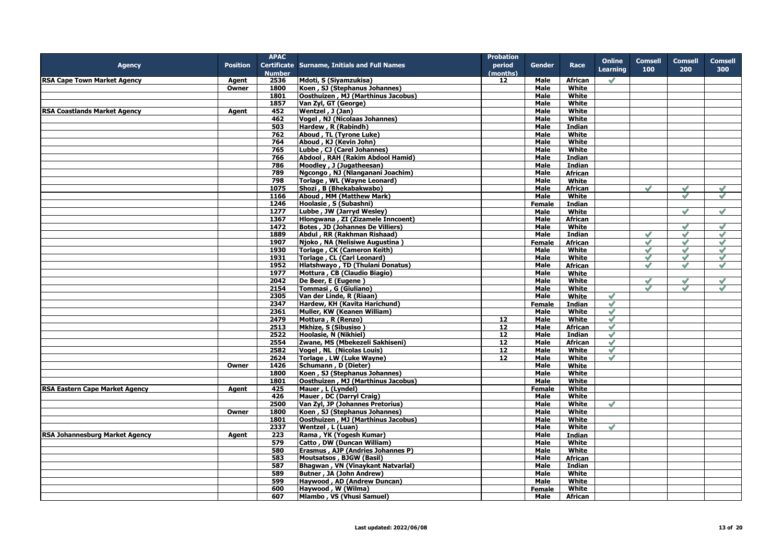|                                       |                 | <b>APAC</b>   |                                              | <b>Probation</b> |               |                |                 |                |               |                |
|---------------------------------------|-----------------|---------------|----------------------------------------------|------------------|---------------|----------------|-----------------|----------------|---------------|----------------|
| <b>Agency</b>                         | <b>Position</b> |               | Certificate Surname, Initials and Full Names | period           | Gender        | Race           | <b>Online</b>   | <b>Comsell</b> | Comsell       | <b>Comsell</b> |
|                                       |                 | <b>Number</b> |                                              | (months)         |               |                | <b>Learning</b> | 100            | 200           | 300            |
| <b>RSA Cape Town Market Agency</b>    | Agent           | 2536          | Mdoti, S (Siyamzukisa)                       | 12               | Male          | African        | $\mathscr{S}$   |                |               |                |
|                                       | Owner           | 1800          | Koen, SJ (Stephanus Johannes)                |                  | Male          | White          |                 |                |               |                |
|                                       |                 |               |                                              |                  |               |                |                 |                |               |                |
|                                       |                 | 1801          | Oosthuizen, MJ (Marthinus Jacobus)           |                  | Male          | White          |                 |                |               |                |
|                                       |                 | 1857          | Van Zyl, GT (George)                         |                  | <b>Male</b>   | White          |                 |                |               |                |
| <b>RSA Coastlands Market Agency</b>   | Agent           | 452           | Wentzel, J (Jan)                             |                  | Male          | White          |                 |                |               |                |
|                                       |                 | 462           | Vogel, NJ (Nicolaas Johannes)                |                  | Male          | White          |                 |                |               |                |
|                                       |                 | 503           | Hardew, R (Rabindh)                          |                  | Male          | Indian         |                 |                |               |                |
|                                       |                 | 762           | Aboud, TL (Tyrone Luke)                      |                  | Male          | White          |                 |                |               |                |
|                                       |                 | 764           | Aboud, KJ (Kevin John)                       |                  | Male          | White          |                 |                |               |                |
|                                       |                 | 765           | Lubbe, CJ (Carel Johannes)                   |                  | <b>Male</b>   | <b>White</b>   |                 |                |               |                |
|                                       |                 | 766           | Abdool, RAH (Rakim Abdool Hamid)             |                  | Male          | Indian         |                 |                |               |                |
|                                       |                 | 786           | Moodley, J (Jugatheesan)                     |                  | Male          | <b>Indian</b>  |                 |                |               |                |
|                                       |                 | 789           | Ngcongo, NJ (Nlanganani Joachim)             |                  | <b>Male</b>   | African        |                 |                |               |                |
|                                       |                 | 798           | Torlage, WL (Wayne Leonard)                  |                  | <b>Male</b>   | White          |                 |                |               |                |
|                                       |                 | 1075          | Shozi, B (Bhekabakwabo)                      |                  | Male          | <b>African</b> |                 | $\mathscr{S}$  | $\mathscr{S}$ | $\sqrt{}$      |
|                                       |                 | 1166          | Aboud, MM (Matthew Mark)                     |                  | Male          | White          |                 |                | $\sqrt{}$     | $\mathscr{S}$  |
|                                       |                 | 1246          | Hoolasie, S (Subashni)                       |                  | <b>Female</b> | Indian         |                 |                |               |                |
|                                       |                 |               |                                              |                  |               |                |                 |                | $\mathscr{S}$ |                |
|                                       |                 | 1277          | Lubbe, JW (Jarryd Wesley)                    |                  | Male          | White          |                 |                |               | $\mathscr{S}$  |
|                                       |                 | 1367          | Hlongwana, ZI (Zizamele Inncoent)            |                  | Male          | African        |                 |                |               |                |
|                                       |                 | 1472          | <b>Botes, JD (Johannes De Villiers)</b>      |                  | Male          | White          |                 |                |               | $\checkmark$   |
|                                       |                 | 1889          | Abdul , RR (Rakhman Rishaad)                 |                  | Male          | Indian         |                 | $\checkmark$   | $\mathscr{O}$ | $\checkmark$   |
|                                       |                 | 1907          | Njoko, NA (Nelisiwe Augustina)               |                  | <b>Female</b> | <b>African</b> |                 | $\checkmark$   | $\checkmark$  | $\mathscr{S}$  |
|                                       |                 | 1930          | Torlage, CK (Cameron Keith)                  |                  | Male          | White          |                 | $\mathscr{S}$  | $\mathscr{O}$ | $\checkmark$   |
|                                       |                 | 1931          | Torlage, CL (Carl Leonard)                   |                  | Male          | White          |                 | $\mathscr{S}$  | $\mathscr{O}$ | $\mathscr{S}$  |
|                                       |                 | 1952          | Hlatshwayo, TD (Thulani Donatus)             |                  | Male          | African        |                 | $\checkmark$   | $\checkmark$  | $\sqrt{}$      |
|                                       |                 | 1977          | Mottura, CB (Claudio Biagio)                 |                  | Male          | White          |                 |                |               |                |
|                                       |                 | 2042          | De Beer, E (Eugene)                          |                  | Male          | White          |                 | $\mathscr{S}$  | $\checkmark$  | $\checkmark$   |
|                                       |                 | 2154          | Tommasi, G (Giuliano)                        |                  | Male          | White          |                 | $\mathscr{S}$  | $\mathscr{S}$ | $\mathscr{S}$  |
|                                       |                 | 2305          | Van der Linde, R (Riaan)                     |                  | <b>Male</b>   | White          | $\mathscr{S}$   |                |               |                |
|                                       |                 | 2347          | Hardew, KH (Kavita Harichund)                |                  | <b>Female</b> | <b>Indian</b>  | $\mathscr{S}$   |                |               |                |
|                                       |                 | 2361          | Muller, KW (Keanen William)                  |                  | <b>Male</b>   | White          | $\mathscr{S}$   |                |               |                |
|                                       |                 | 2479          | Mottura, R (Renzo)                           | 12               | Male          | White          | $\mathscr{S}$   |                |               |                |
|                                       |                 |               |                                              |                  |               |                | $\mathscr{S}$   |                |               |                |
|                                       |                 | 2513          | Mkhize, S (Sibusiso)                         | 12               | Male          | <b>African</b> |                 |                |               |                |
|                                       |                 | 2522          | Hoolasie, N (Nikhiel)                        | 12               | <b>Male</b>   | Indian         | $\mathscr{S}$   |                |               |                |
|                                       |                 | 2554          | Zwane, MS (Mbekezeli Sakhiseni)              | $\overline{12}$  | <b>Male</b>   | <b>African</b> | $\mathscr{S}$   |                |               |                |
|                                       |                 | 2582          | Vogel, NL (Nicolas Louis)                    | 12               | Male          | White          | $\checkmark$    |                |               |                |
|                                       |                 | 2624          | Torlage, LW (Luke Wayne)                     | 12               | Male          | White          | $\blacklozenge$ |                |               |                |
|                                       | Owner           | 1426          | Schumann, D (Dieter)                         |                  | Male          | White          |                 |                |               |                |
|                                       |                 | 1800          | Koen, SJ (Stephanus Johannes)                |                  | Male          | White          |                 |                |               |                |
|                                       |                 | 1801          | Oosthuizen, MJ (Marthinus Jacobus)           |                  | <b>Male</b>   | White          |                 |                |               |                |
| <b>RSA Eastern Cape Market Agency</b> | Agent           | 425           | Mauer, L (Lyndel)                            |                  | Female        | White          |                 |                |               |                |
|                                       |                 | 426           | Mauer, DC (Darryl Craig)                     |                  | Male          | White          |                 |                |               |                |
|                                       |                 | 2500          | Van Zyl, JP (Johannes Pretorius)             |                  | Male          | White          | $\mathscr{S}$   |                |               |                |
|                                       | Owner           | 1800          | Koen, SJ (Stephanus Johannes)                |                  | <b>Male</b>   | White          |                 |                |               |                |
|                                       |                 | 1801          | Oosthuizen, MJ (Marthinus Jacobus)           |                  | Male          | White          |                 |                |               |                |
|                                       |                 | 2337          | Wentzel, L (Luan)                            |                  | Male          | White          | $\mathscr{S}$   |                |               |                |
| <b>RSA Johannesburg Market Agency</b> | Agent           | 223           | Rama, YK (Yogesh Kumar)                      |                  | Male          | Indian         |                 |                |               |                |
|                                       |                 | 579           | Catto, DW (Duncan William)                   |                  | Male          | White          |                 |                |               |                |
|                                       |                 |               |                                              |                  |               |                |                 |                |               |                |
|                                       |                 | 580           | Erasmus, AJP (Andries Johannes P)            |                  | Male          | White          |                 |                |               |                |
|                                       |                 | 583           | Moutsatsos, BJGW (Basil)                     |                  | Male          | <b>African</b> |                 |                |               |                |
|                                       |                 | 587           | Bhagwan, VN (Vinaykant Natvarlal)            |                  | Male          | Indian         |                 |                |               |                |
|                                       |                 | 589           | Butner, JA (John Andrew)                     |                  | <b>Male</b>   | White          |                 |                |               |                |
|                                       |                 | 599           | Haywood, AD (Andrew Duncan)                  |                  | Male          | White          |                 |                |               |                |
|                                       |                 | 600           | Haywood, W (Wilma)                           |                  | <b>Female</b> | White          |                 |                |               |                |
|                                       |                 | 607           | Mlambo, VS (Vhusi Samuel)                    |                  | <b>Male</b>   | African        |                 |                |               |                |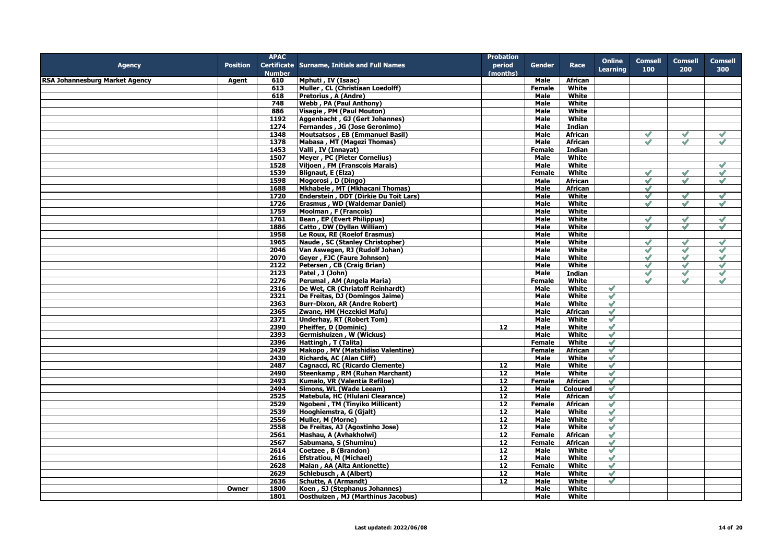|                                       |                 | <b>APAC</b>   |                                                        | <b>Probation</b> |               |                  |                 |                |                    |                 |
|---------------------------------------|-----------------|---------------|--------------------------------------------------------|------------------|---------------|------------------|-----------------|----------------|--------------------|-----------------|
| Agency                                | <b>Position</b> |               | <b>Certificate Surname, Initials and Full Names</b>    | period           | <b>Gender</b> | Race             | <b>Online</b>   | <b>Comsell</b> | <b>Comsell</b>     | Comsell         |
|                                       |                 | <b>Number</b> |                                                        | (months)         |               |                  | <b>Learning</b> | 100            | 200                | 300             |
|                                       |                 |               |                                                        |                  |               |                  |                 |                |                    |                 |
| <b>RSA Johannesburg Market Agency</b> | Agent           | 610<br>613    | Mphuti, IV (Isaac)<br>Muller, CL (Christiaan Loedolff) |                  | Male          | African<br>White |                 |                |                    |                 |
|                                       |                 |               |                                                        |                  | <b>Female</b> |                  |                 |                |                    |                 |
|                                       |                 | 618           | Pretorius, A (Andre)                                   |                  | Male          | White            |                 |                |                    |                 |
|                                       |                 | 748           | Webb, PA (Paul Anthony)                                |                  | Male          | White            |                 |                |                    |                 |
|                                       |                 | 886           | Visagie, PM (Paul Mouton)                              |                  | Male          | White            |                 |                |                    |                 |
|                                       |                 | 1192          | Aggenbacht, GJ (Gert Johannes)                         |                  | <b>Male</b>   | White            |                 |                |                    |                 |
|                                       |                 | 1274          | <b>Fernandes, JG (Jose Geronimo)</b>                   |                  | Male          | Indian           |                 |                |                    |                 |
|                                       |                 | 1348          | Moutsatsos, EB (Emmanuel Basil)                        |                  | <b>Male</b>   | African          |                 | $\mathscr{S}$  | $\mathscr{S}$      | $\checkmark$    |
|                                       |                 | 1378          | Mabasa, MT (Magezi Thomas)                             |                  | Male          | <b>African</b>   |                 | $\mathscr{S}$  | $\mathscr{S}$      | $\mathscr{S}$   |
|                                       |                 | 1453          | Valli, IV (Innayat)                                    |                  | <b>Female</b> | Indian           |                 |                |                    |                 |
|                                       |                 | 1507          | <b>Meyer, PC (Pieter Cornelius)</b>                    |                  | Male          | White            |                 |                |                    |                 |
|                                       |                 | 1528          | Viljoen, FM (Franscois Marais)                         |                  | Male          | White            |                 |                |                    | $\mathscr{S}$   |
|                                       |                 | 1539          | <b>Blignaut, E (Elza)</b>                              |                  | <b>Female</b> | White            |                 | $\sqrt{}$      | $\sim$             | $\checkmark$    |
|                                       |                 | 1598          | Mogorosi, D (Dingo)                                    |                  | Male          | African          |                 | $\mathscr{S}$  | $\checkmark$       | $\mathscr{O}$   |
|                                       |                 | 1688          | Mkhabele, MT (Mkhacani Thomas)                         |                  | Male          | African          |                 | $\mathscr{S}$  |                    |                 |
|                                       |                 |               |                                                        |                  |               |                  |                 |                |                    |                 |
|                                       |                 | 1720          | Enderstein, DDT (Dirkie Du Toit Lars)                  |                  | Male          | White            |                 | $\mathscr{S}$  | $\checkmark$       | $\checkmark$    |
|                                       |                 | 1726          | Erasmus, WD (Waldemar Daniel)                          |                  | Male          | White            |                 | $\mathscr{S}$  | $\mathscr{S}$      | $\mathscr{S}$   |
|                                       |                 | 1759          | Moolman, F (Francois)                                  |                  | Male          | White            |                 |                |                    |                 |
|                                       |                 | 1761          | Bean, EP (Evert Philippus)                             |                  | Male          | White            |                 | $\mathscr{S}$  | $\mathscr{S}$      | $\mathscr{S}$   |
|                                       |                 | 1886          | Catto, DW (Dyllan William)                             |                  | Male          | White            |                 |                | $\checkmark$       | $\checkmark$    |
|                                       |                 | 1958          | Le Roux, RE (Roelof Erasmus)                           |                  | Male          | White            |                 |                |                    |                 |
|                                       |                 | 1965          | Naude, SC (Stanley Christopher)                        |                  | Male          | White            |                 | $\mathscr{S}$  | $\mathscr{S}$      | $\mathscr{S}$   |
|                                       |                 | 2046          | Van Aswegen, RJ (Rudolf Johan)                         |                  | Male          | White            |                 | $\checkmark$   | $\checkmark$       | $\mathscr{S}$   |
|                                       |                 | 2070          | Geyer, FJC (Faure Johnson)                             |                  | Male          | White            |                 | $\mathscr{S}$  | $\mathscr{S}$      | $\checkmark$    |
|                                       |                 | 2122          | Petersen, CB (Craig Brian)                             |                  | Male          | White            |                 | $\mathscr{S}$  | $\checkmark$       | $\blacklozenge$ |
|                                       |                 | 2123          | Patel, J (John)                                        |                  | Male          | Indian           |                 | $\mathscr{S}$  | $\mathscr{S}$      | $\mathscr{S}$   |
|                                       |                 |               |                                                        |                  |               |                  |                 |                |                    |                 |
|                                       |                 | 2276          | Perumal, AM (Angela Maria)                             |                  | Female        | White            |                 | $\mathscr{O}$  | $\rightsquigarrow$ | $\checkmark$    |
|                                       |                 | 2316          | De Wet, CR (Chriatoff Reinhardt)                       |                  | Male          | White            | $\mathscr{Q}$   |                |                    |                 |
|                                       |                 | 2321          | De Freitas, DJ (Domingos Jaime)                        |                  | Male          | White            | $\mathscr{S}$   |                |                    |                 |
|                                       |                 | 2363          | <b>Burr-Dixon, AR (Andre Robert)</b>                   |                  | <b>Male</b>   | White            | $\checkmark$    |                |                    |                 |
|                                       |                 | 2365          | Zwane, HM (Hezekiel Mafu)                              |                  | Male          | <b>African</b>   | $\mathscr{S}$   |                |                    |                 |
|                                       |                 | 2371          | <b>Underhay, RT (Robert Tom)</b>                       |                  | Male          | White            | $\mathscr{S}$   |                |                    |                 |
|                                       |                 | 2390          | Pheiffer, D (Dominic)                                  | 12               | Male          | White            | $\mathscr{S}$   |                |                    |                 |
|                                       |                 | 2393          | Germishuizen, W (Wickus)                               |                  | Male          | White            | $\checkmark$    |                |                    |                 |
|                                       |                 | 2396          | Hattingh, T (Talita)                                   |                  | <b>Female</b> | White            | $\mathscr{S}$   |                |                    |                 |
|                                       |                 | 2429          | Makopo, MV (Matshidiso Valentine)                      |                  | Female        | African          | $\mathscr{O}$   |                |                    |                 |
|                                       |                 | 2430          | Richards, AC (Alan Cliff)                              |                  | Male          | White            | $\checkmark$    |                |                    |                 |
|                                       |                 | 2487          | Cagnacci, RC (Ricardo Clemente)                        | 12               | Male          | White            | $\mathscr{S}$   |                |                    |                 |
|                                       |                 | 2490          |                                                        | 12               | Male          | White            | $\mathscr Q$    |                |                    |                 |
|                                       |                 |               | Steenkamp, RM (Ruhan Marchant)                         |                  |               |                  |                 |                |                    |                 |
|                                       |                 | 2493          | Kumalo, VR (Valentia Refiloe)                          | 12               | Female        | <b>African</b>   | $\checkmark$    |                |                    |                 |
|                                       |                 | 2494          | Simons, WL (Wade Leeam)                                | 12               | Male          | <b>Coloured</b>  | $\mathscr{S}$   |                |                    |                 |
|                                       |                 | 2525          | Matebula, HC (Hlulani Clearance)                       | 12               | Male          | African          | $\mathscr{S}$   |                |                    |                 |
|                                       |                 | 2529          | Ngobeni, TM (Tinyiko Millicent)                        | $\overline{12}$  | <b>Female</b> | <b>African</b>   | $\sqrt{}$       |                |                    |                 |
|                                       |                 | 2539          | Hooghiemstra, G (Gjalt)                                | 12               | Male          | White            | $\mathscr{S}$   |                |                    |                 |
|                                       |                 | 2556          | Muller, M (Morne)                                      | 12               | <b>Male</b>   | White            | $\mathscr{S}$   |                |                    |                 |
|                                       |                 | 2558          | De Freitas, AJ (Agostinho Jose)                        | 12               | Male          | White            | $\mathscr{S}$   |                |                    |                 |
|                                       |                 | 2561          | Mashau, A (Avhakholwi)                                 | 12               | Female        | African          | $\mathscr{S}$   |                |                    |                 |
|                                       |                 | 2567          | Sabumana, S (Shuminu)                                  | 12               | Female        | <b>African</b>   | $\mathscr{S}$   |                |                    |                 |
|                                       |                 | 2614          | Coetzee, B (Brandon)                                   | 12               | Male          | White            | $\mathscr{S}$   |                |                    |                 |
|                                       |                 | 2616          | <b>Efstratiou, M (Michael)</b>                         | 12               | Male          | White            | $\mathscr{O}$   |                |                    |                 |
|                                       |                 | 2628          | Malan, AA (Alta Antionette)                            | 12               | Female        | White            | $\mathscr{O}$   |                |                    |                 |
|                                       |                 | 2629          |                                                        |                  |               |                  |                 |                |                    |                 |
|                                       |                 |               | Schlebusch, A (Albert)                                 | 12               | Male          | White            | $\mathscr{O}$   |                |                    |                 |
|                                       |                 | 2636          | <b>Schutte, A (Armandt)</b>                            | 12               | Male          | White            | $\mathscr{S}$   |                |                    |                 |
|                                       | Owner           | 1800          | Koen, SJ (Stephanus Johannes)                          |                  | Male          | White            |                 |                |                    |                 |
|                                       |                 | 1801          | Oosthuizen, MJ (Marthinus Jacobus)                     |                  | Male          | White            |                 |                |                    |                 |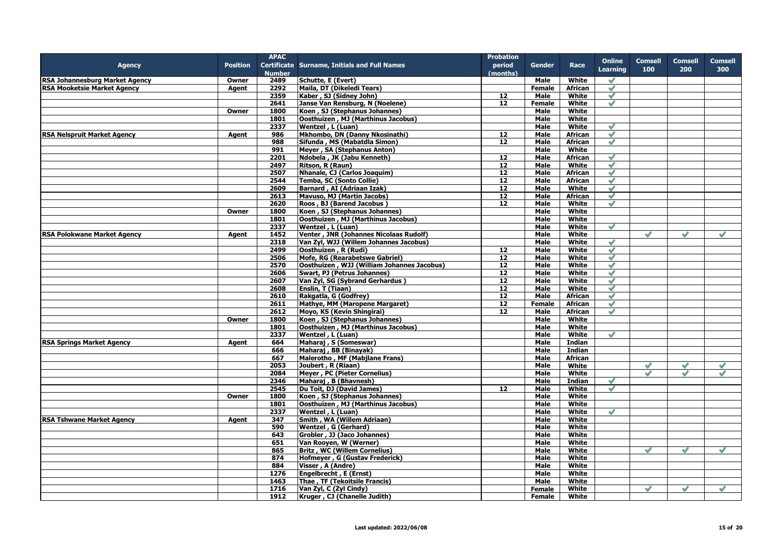|                                       |                 | <b>APAC</b>   |                                                       | <b>Probation</b> |               |                       |                 |                |               |                |
|---------------------------------------|-----------------|---------------|-------------------------------------------------------|------------------|---------------|-----------------------|-----------------|----------------|---------------|----------------|
| <b>Agency</b>                         | <b>Position</b> |               | Certificate Surname, Initials and Full Names          | period           | <b>Gender</b> | Race                  | <b>Online</b>   | <b>Comsell</b> | Comsell       | <b>Comsell</b> |
|                                       |                 | <b>Number</b> |                                                       | (months)         |               |                       | <b>Learning</b> | 100            | 200           | 300            |
| <b>RSA Johannesburg Market Agency</b> | Owner           | 2489          | Schutte, E (Evert)                                    |                  | Male          | White                 | $\mathscr{S}$   |                |               |                |
| <b>RSA Mooketsie Market Agency</b>    | Agent           | 2292          | Maila, DT (Dikeledi Tears)                            |                  | <b>Female</b> | <b>African</b>        | $\mathscr{S}$   |                |               |                |
|                                       |                 | 2359          | Kaber, SJ (Sidney John)                               | 12               | <b>Male</b>   | White                 | $\checkmark$    |                |               |                |
|                                       |                 | 2641          | Janse Van Rensburg, N (Noelene)                       | 12               | Female        | White                 | $\mathcal Q$    |                |               |                |
|                                       | Owner           | 1800          | Koen, SJ (Stephanus Johannes)                         |                  | Male          | White                 |                 |                |               |                |
|                                       |                 | 1801          | Oosthuizen, MJ (Marthinus Jacobus)                    |                  | Male          | White                 |                 |                |               |                |
|                                       |                 | 2337          | Wentzel, L (Luan)                                     |                  | Male          | White                 | $\mathscr{S}$   |                |               |                |
| <b>RSA Nelspruit Market Agency</b>    | Agent           | 986           | Mkhombo, DN (Danny Nkosinathi)                        | 12               | Male          | African               | $\mathscr{S}$   |                |               |                |
|                                       |                 | 988           | Sifunda, MS (Mabatdla Simon)                          | $\overline{12}$  | <b>Male</b>   | <b>African</b>        | $\blacklozenge$ |                |               |                |
|                                       |                 | 991           | Meyer, SA (Stephanus Anton)                           |                  | Male          | White                 |                 |                |               |                |
|                                       |                 | 2201          | Ndobela, JK (Jabu Kenneth)                            | 12               | Male          | African               | $\checkmark$    |                |               |                |
|                                       |                 | 2497          | Ritson, R (Raun)                                      | 12               | Male          | White                 | $\mathscr{S}$   |                |               |                |
|                                       |                 | 2507          | Nhanale, CJ (Carlos Joaquim)                          | 12               | Male          | African               | $\checkmark$    |                |               |                |
|                                       |                 | 2544          | Temba, SC (Sonto Collie)                              | 12               | Male          | African               | $\mathscr{S}$   |                |               |                |
|                                       |                 | 2609          | Barnard, AI (Adriaan Izak)                            | 12               | Male          | White                 | $\mathscr{S}$   |                |               |                |
|                                       |                 | 2613          | Mavuso, MJ (Martin Jacobs)                            | 12               | Male          | African               | $\mathscr{S}$   |                |               |                |
|                                       |                 | 2620          | Roos, BJ (Barend Jacobus)                             | 12               | Male          | White                 | $\mathscr{S}$   |                |               |                |
|                                       | Owner           | 1800          | Koen, SJ (Stephanus Johannes)                         |                  | Male          | White                 |                 |                |               |                |
|                                       |                 | 1801          | Oosthuizen, MJ (Marthinus Jacobus)                    |                  | Male          | White                 |                 |                |               |                |
|                                       |                 | 2337          | Wentzel, L (Luan)                                     |                  | Male          | White                 | $\mathscr{S}$   |                |               |                |
| <b>RSA Polokwane Market Agency</b>    | Agent           | 1452          | Venter, JNR (Johannes Nicolaas Rudolf)                |                  | Male          | White                 |                 | $\mathscr{Q}$  | $\mathscr{O}$ | $\checkmark$   |
|                                       |                 | 2318          | Van Zyl, WJJ (Willem Johannes Jacobus)                |                  | <b>Male</b>   | White                 | $\mathcal Q$    |                |               |                |
|                                       |                 | 2499          | Oosthuizen, R (Rudi)                                  | 12               | Male          | White                 | $\mathscr{S}$   |                |               |                |
|                                       |                 | 2506          | Mofe, RG (Rearabetswe Gabriel)                        | 12               | <b>Male</b>   | White                 | $\mathcal Q$    |                |               |                |
|                                       |                 | 2570          | Oosthuizen, WJJ (William Johannes Jacobus)            | 12               | Male          | White                 | $\mathcal Q$    |                |               |                |
|                                       |                 | 2606          | Swart, PJ (Petrus Johannes)                           | 12               | Male          | White                 | $\mathscr{S}$   |                |               |                |
|                                       |                 | 2607          | Van Zyl, SG (Sybrand Gerhardus)                       | 12               | Male          | White                 | $\checkmark$    |                |               |                |
|                                       |                 | 2608          | Enslin, T (Tiaan)                                     | 12               | <b>Male</b>   | White                 | $\mathscr{S}$   |                |               |                |
|                                       |                 | 2610          | Rakgatla, G (Godfrey)                                 | 12               | <b>Male</b>   | <b>African</b>        | $\mathscr{S}$   |                |               |                |
|                                       |                 | 2611          | Mathye, MM (Maropene Margaret)                        | 12               | <b>Female</b> | African               | $\mathscr{S}$   |                |               |                |
|                                       |                 | 2612          | Moyo, KS (Kevin Shingirai)                            | 12 <sub>1</sub>  | Male          | <b>African</b>        | $\mathscr{S}$   |                |               |                |
|                                       | Owner           | 1800          | Koen, SJ (Stephanus Johannes)                         |                  | Male          | White                 |                 |                |               |                |
|                                       |                 | 1801          | Oosthuizen, MJ (Marthinus Jacobus)                    |                  | Male          | White                 |                 |                |               |                |
|                                       |                 | 2337          | Wentzel, L (Luan)                                     |                  | Male          | White                 | $\mathscr{S}$   |                |               |                |
| <b>RSA Springs Market Agency</b>      |                 | 664           | Maharaj, S (Someswar)                                 |                  | Male          | Indian                |                 |                |               |                |
|                                       | Agent           | 666           | Maharaj, BB (Binayak)                                 |                  | Male          | <b>Indian</b>         |                 |                |               |                |
|                                       |                 | 667           | Malerotho, MF (Mabjlane Frans)                        |                  | Male          | <b>African</b>        |                 |                |               |                |
|                                       |                 | 2053          | Joubert, R (Riaan)                                    |                  | Male          | White                 |                 | $\checkmark$   | $\sqrt{}$     | $\checkmark$   |
|                                       |                 | 2084          | Meyer, PC (Pieter Cornelius)                          |                  | Male          | White                 |                 | $\mathscr{S}$  | $\mathscr{S}$ | $\mathscr{S}$  |
|                                       |                 | 2346          | Maharaj, B (Bhavnesh)                                 |                  | Male          | <b>Indian</b>         | $\mathscr{S}$   |                |               |                |
|                                       |                 | 2545          | Du Toit, DJ (David James)                             | 12               | Male          | White                 | $\mathscr{S}$   |                |               |                |
|                                       | Owner           | 1800          | Koen, SJ (Stephanus Johannes)                         |                  | Male          | White                 |                 |                |               |                |
|                                       |                 | 1801          | <b>Oosthuizen, MJ (Marthinus Jacobus)</b>             |                  | Male          | White                 |                 |                |               |                |
|                                       |                 | 2337          | Wentzel, L (Luan)                                     |                  | Male          | White                 | $\sqrt{}$       |                |               |                |
| <b>RSA Tshwane Market Agency</b>      | Agent           | 347           | Smith, WA (Willem Adriaan)                            |                  | Male          | White                 |                 |                |               |                |
|                                       |                 | 590           | Wentzel, G (Gerhard)                                  |                  | Male          | White                 |                 |                |               |                |
|                                       |                 |               |                                                       |                  |               |                       |                 |                |               |                |
|                                       |                 | 643<br>651    | Grobler, JJ (Jaco Johannes)<br>Van Rooyen, W (Werner) |                  | Male<br>Male  | White<br>White        |                 |                |               |                |
|                                       |                 | 865           | <b>Britz, WC (Willem Cornelius)</b>                   |                  | Male          | White                 |                 | $\mathscr{S}$  | $\mathscr{S}$ | $\mathscr{S}$  |
|                                       |                 |               |                                                       |                  |               | <b>White</b>          |                 |                |               |                |
|                                       |                 | 874           | Hofmeyer, G (Gustav Frederick)                        |                  | Male          |                       |                 |                |               |                |
|                                       |                 | 884           | Visser, A (Andre)                                     |                  | Male          | White<br><b>White</b> |                 |                |               |                |
|                                       |                 | 1276          | Engelbrecht, E (Ernst)                                |                  | Male          |                       |                 |                |               |                |
|                                       |                 | 1463          | Thae, TF (Tekoitsile Francis)                         |                  | Male          | White                 |                 |                |               |                |
|                                       |                 | 1716          | Van Zyl, C (Zyl Cindy)                                |                  | <b>Female</b> | White                 |                 | $\mathscr{S}$  | $\mathscr{S}$ | $\mathscr{S}$  |
|                                       |                 | 1912          | Kruger, CJ (Chanelle Judith)                          |                  | <b>Female</b> | White                 |                 |                |               |                |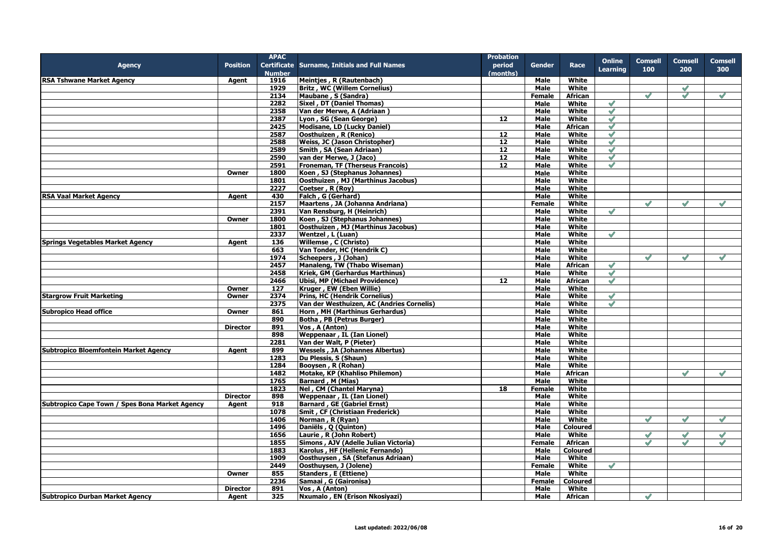|                                                |                 | <b>APAC</b>   |                                                     | <b>Probation</b> |               |                 |                 |                |               |                |
|------------------------------------------------|-----------------|---------------|-----------------------------------------------------|------------------|---------------|-----------------|-----------------|----------------|---------------|----------------|
| <b>Agency</b>                                  | <b>Position</b> |               | <b>Certificate Surname, Initials and Full Names</b> | period           | Gender        | Race            | <b>Online</b>   | <b>Comsell</b> | Comsell       | <b>Comsell</b> |
|                                                |                 | <b>Number</b> |                                                     | (months)         |               |                 | <b>Learning</b> | 100            | 200           | 300            |
| <b>RSA Tshwane Market Agency</b>               | Agent           | 1916          | Meintjes, R (Rautenbach)                            |                  | Male          | White           |                 |                |               |                |
|                                                |                 | 1929          | <b>Britz, WC (Willem Cornelius)</b>                 |                  | Male          | White           |                 |                | $\mathscr{S}$ |                |
|                                                |                 | 2134          | Maubane, S (Sandra)                                 |                  | Female        | <b>African</b>  |                 | $\mathscr{S}$  | $\mathscr{S}$ | $\mathscr{A}$  |
|                                                |                 | 2282          | Sixel, DT (Daniel Thomas)                           |                  | Male          | White           |                 |                |               |                |
|                                                |                 | 2358          | Van der Merwe, A (Adriaan)                          |                  | Male          | White           | $\mathscr{S}$   |                |               |                |
|                                                |                 | 2387          | Lyon, SG (Sean George)                              | 12               | Male          | White           | $\mathscr{S}$   |                |               |                |
|                                                |                 | 2425          | Modisane, LD (Lucky Daniel)                         |                  | Male          | African         | $\mathscr{S}$   |                |               |                |
|                                                |                 | 2587          | Oosthuizen, R (Renico)                              | 12               | Male          | White           | $\checkmark$    |                |               |                |
|                                                |                 | 2588          | Weiss, JC (Jason Christopher)                       | 12               | Male          | White           | $\mathscr{S}$   |                |               |                |
|                                                |                 | 2589          | Smith, SA (Sean Adriaan)                            | 12               | <b>Male</b>   | White           | $\mathscr{S}$   |                |               |                |
|                                                |                 | 2590          | van der Merwe, J (Jaco)                             | 12               | Male          | White           | $\mathscr{S}$   |                |               |                |
|                                                |                 | 2591          | Froneman, TF (Therseus Francois)                    | 12               | Male          | White           | $\mathscr{S}$   |                |               |                |
|                                                | Owner           | 1800          | Koen, SJ (Stephanus Johannes)                       |                  | Male          | White           |                 |                |               |                |
|                                                |                 | 1801          | Oosthuizen, MJ (Marthinus Jacobus)                  |                  | <b>Male</b>   | White           |                 |                |               |                |
|                                                |                 | 2227          | Coetser, R (Roy)                                    |                  | Male          | White           |                 |                |               |                |
| <b>RSA Vaal Market Agency</b>                  | Agent           | 430           | Falch, G (Gerhard)                                  |                  | Male          | White           |                 |                |               |                |
|                                                |                 | 2157          | Maartens, JA (Johanna Andriana)                     |                  | Female        | White           |                 | $\mathscr{A}$  | $\mathscr{Q}$ | $\mathscr{S}$  |
|                                                |                 | 2391          | Van Rensburg, H (Heinrich)                          |                  | Male          | White           | $\checkmark$    |                |               |                |
|                                                | Owner           | 1800          | Koen, SJ (Stephanus Johannes)                       |                  | Male          | White           |                 |                |               |                |
|                                                |                 | 1801          | Oosthuizen, MJ (Marthinus Jacobus)                  |                  | Male          | White           |                 |                |               |                |
|                                                |                 | 2337          | Wentzel, L (Luan)                                   |                  | Male          | White           | $\mathscr{S}$   |                |               |                |
| <b>Springs Vegetables Market Agency</b>        | Agent           | 136           | Willemse, C (Christo)                               |                  | Male          | White           |                 |                |               |                |
|                                                |                 | 663           | Van Tonder, HC (Hendrik C)                          |                  | Male          | White           |                 |                |               |                |
|                                                |                 | 1974          | Scheepers, J (Johan)                                |                  | Male          | White           |                 | $\mathscr{S}$  | $\mathscr{A}$ | $\checkmark$   |
|                                                |                 | 2457          | Manaleng, TW (Thabo Wiseman)                        |                  | Male          | African         |                 |                |               |                |
|                                                |                 | 2458          | <b>Kriek, GM (Gerhardus Marthinus)</b>              |                  | Male          | White           | $\mathscr{S}$   |                |               |                |
|                                                |                 | 2466          | <b>Ubisi, MP (Michael Providence)</b>               | 12               | Male          | <b>African</b>  | $\mathscr{S}$   |                |               |                |
|                                                | Owner           | 127           | Kruger, EW (Eben Willie)                            |                  | Male          | White           |                 |                |               |                |
| <b>Stargrow Fruit Marketing</b>                | Owner           | 2374          | <b>Prins, HC (Hendrik Cornelius)</b>                |                  | Male          | White           | $\mathscr{S}$   |                |               |                |
|                                                |                 | 2375          | Van der Westhuizen, AC (Andries Cornelis)           |                  | Male          | White           | $\mathscr{S}$   |                |               |                |
| <b>Subropico Head office</b>                   | Owner           | 861           | Horn, MH (Marthinus Gerhardus)                      |                  | <b>Male</b>   | White           |                 |                |               |                |
|                                                |                 | 890           | Botha, PB (Petrus Burger)                           |                  | Male          | White           |                 |                |               |                |
|                                                | <b>Director</b> | 891           | Vos, A (Anton)                                      |                  | Male          | White           |                 |                |               |                |
|                                                |                 | 898           | <b>Weppenaar, IL (Ian Lionel)</b>                   |                  | Male          | White           |                 |                |               |                |
|                                                |                 | 2281          | Van der Walt, P (Pieter)                            |                  | <b>Male</b>   | White           |                 |                |               |                |
| <b>Subtropico Bloemfontein Market Agency</b>   | Agent           | 899           | <b>Wessels, JA (Johannes Albertus)</b>              |                  | Male          | White           |                 |                |               |                |
|                                                |                 | 1283          | Du Plessis, S (Shaun)                               |                  | Male          | White           |                 |                |               |                |
|                                                |                 | 1284          | Booysen, R (Rohan)                                  |                  | Male          | <b>White</b>    |                 |                |               |                |
|                                                |                 | 1482          | Motake, KP (Khahliso Philemon)                      |                  | Male          | African         |                 |                | $\mathscr{S}$ |                |
|                                                |                 | 1765          | <b>Barnard, M (Mias)</b>                            |                  | Male          | White           |                 |                |               |                |
|                                                |                 | 1823          | Nel, CM (Chantel Maryna)                            | 18               | Female        | White           |                 |                |               |                |
|                                                | <b>Director</b> | 898           | <b>Weppenaar, IL (Ian Lionel)</b>                   |                  | Male          | White           |                 |                |               |                |
| Subtropico Cape Town / Spes Bona Market Agency | Agent           | 918           | <b>Barnard, GE (Gabriel Ernst)</b>                  |                  | Male          | White           |                 |                |               |                |
|                                                |                 | 1078          | Smit, CF (Christiaan Frederick)                     |                  | Male          | White           |                 |                |               |                |
|                                                |                 | 1406          | Norman, R (Ryan)                                    |                  | Male          | White           |                 | $\mathscr{S}$  | $\mathscr{S}$ | $\mathscr{S}$  |
|                                                |                 | 1496          | Daniëls, Q (Quinton)                                |                  | Male          | <b>Coloured</b> |                 |                |               |                |
|                                                |                 | 1656          | Laurie, R (John Robert)                             |                  | Male          | White           |                 | $\mathscr{S}$  | $\mathscr{S}$ | $\mathscr{S}$  |
|                                                |                 | 1855          | Simons, AJV (Adelle Julian Victoria)                |                  | Female        | <b>African</b>  |                 | $\checkmark$   | $\sqrt{}$     | $\checkmark$   |
|                                                |                 | 1883          | Karolus, HF (Hellenic Fernando)                     |                  | Male          | <b>Coloured</b> |                 |                |               |                |
|                                                |                 | 1909          | Oosthuysen, SA (Stefanus Adriaan)                   |                  | <b>Male</b>   | White           |                 |                |               |                |
|                                                |                 | 2449          | Oosthuysen, J (Jolene)                              |                  | <b>Female</b> | White           | $\mathscr{S}$   |                |               |                |
|                                                | Owner           | 855           | <b>Standers, E (Ettiene)</b>                        |                  | <b>Male</b>   | <b>White</b>    |                 |                |               |                |
|                                                |                 | 2236          | Samaai, G (Gaironisa)                               |                  | Female        | <b>Coloured</b> |                 |                |               |                |
|                                                |                 | 891           | Vos, A (Anton)                                      |                  | Male          | White           |                 |                |               |                |
|                                                | <b>Director</b> | 325           |                                                     |                  |               |                 |                 |                |               |                |
| <b>Subtropico Durban Market Agency</b>         | Agent           |               | Nxumalo, EN (Erison Nkosiyazi)                      |                  | <b>Male</b>   | African         |                 | $\checkmark$   |               |                |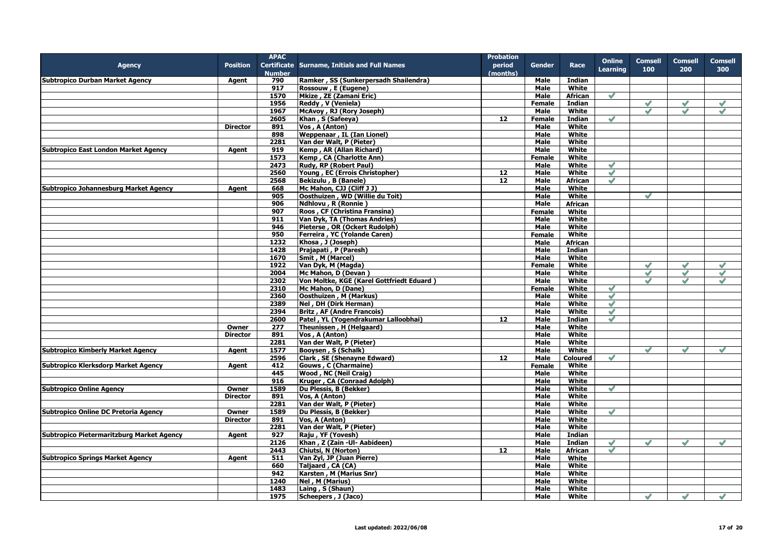|                                             |                 | <b>APAC</b>   |                                                     | <b>Probation</b> |               |                 |                 |                |               |                |
|---------------------------------------------|-----------------|---------------|-----------------------------------------------------|------------------|---------------|-----------------|-----------------|----------------|---------------|----------------|
| <b>Agency</b>                               | <b>Position</b> |               | <b>Certificate Surname, Initials and Full Names</b> | period           | Gender        | Race            | <b>Online</b>   | <b>Comsell</b> | Comsell       | <b>Comsell</b> |
|                                             |                 | <b>Number</b> |                                                     | (months)         |               |                 | <b>Learning</b> | 100            | 200           | 300            |
| <b>Subtropico Durban Market Agency</b>      | Agent           | 790           | Ramker, SS (Sunkerpersadh Shailendra)               |                  | Male          | Indian          |                 |                |               |                |
|                                             |                 | 917           | Rossouw, E (Eugene)                                 |                  | Male          | White           |                 |                |               |                |
|                                             |                 | 1570          | Mkize, ZE (Zamani Eric)                             |                  | Male          | <b>African</b>  | $\mathscr{S}$   |                |               |                |
|                                             |                 | 1956          |                                                     |                  | Female        | <b>Indian</b>   |                 | $\checkmark$   |               |                |
|                                             |                 |               | Reddy, V (Veniela)                                  |                  |               |                 |                 |                |               |                |
|                                             |                 | 1967          | McAvoy, RJ (Rory Joseph)                            |                  | <b>Male</b>   | White           |                 | $\mathscr{Q}$  |               | $\mathscr{S}$  |
|                                             |                 | 2605          | Khan, S (Safeeya)                                   | 12               | Female        | <b>Indian</b>   | $\mathscr{S}$   |                |               |                |
|                                             | <b>Director</b> | 891           | Vos, A (Anton)                                      |                  | <b>Male</b>   | White           |                 |                |               |                |
|                                             |                 | 898           | <b>Weppenaar, IL (Ian Lionel)</b>                   |                  | Male          | White           |                 |                |               |                |
|                                             |                 | 2281          | Van der Walt, P (Pieter)                            |                  | Male          | White           |                 |                |               |                |
| <b>Subtropico East London Market Agency</b> | Agent           | 919           | Kemp, AR (Allan Richard)                            |                  | Male          | White           |                 |                |               |                |
|                                             |                 | 1573          | Kemp, CA (Charlotte Ann)                            |                  | Female        | White           |                 |                |               |                |
|                                             |                 | 2473          | Rudy, RP (Robert Paul)                              |                  | Male          | White           | $\mathscr{S}$   |                |               |                |
|                                             |                 | 2560          | Young, EC (Errois Christopher)                      | 12               | <b>Male</b>   | White           | $\mathscr{S}$   |                |               |                |
|                                             |                 | 2568          | Bekizulu, B (Banele)                                | 12               | Male          | African         | $\mathscr{S}$   |                |               |                |
| Subtropico Johannesburg Market Agency       | Agent           | 668           | Mc Mahon, CJJ (Cliff J J)                           |                  | Male          | White           |                 |                |               |                |
|                                             |                 | 905           | Oosthuizen, WD (Willie du Toit)                     |                  | Male          | White           |                 | $\mathscr{S}$  |               |                |
|                                             |                 | 906           | Ndhlovu, R (Ronnie)                                 |                  | <b>Male</b>   | <b>African</b>  |                 |                |               |                |
|                                             |                 | 907           | Roos, CF (Christina Fransina)                       |                  | Female        | White           |                 |                |               |                |
|                                             |                 | 911           | Van Dyk, TA (Thomas Andries)                        |                  | Male          | White           |                 |                |               |                |
|                                             |                 | 946           | Pieterse, OR (Ockert Rudolph)                       |                  | Male          | White           |                 |                |               |                |
|                                             |                 | 950           | Ferreira, YC (Yolande Caren)                        |                  |               | White           |                 |                |               |                |
|                                             |                 |               |                                                     |                  | Female        |                 |                 |                |               |                |
|                                             |                 | 1232          | Khosa, J (Joseph)                                   |                  | Male          | African         |                 |                |               |                |
|                                             |                 | 1428          | Prajapati, P (Paresh)                               |                  | Male          | Indian          |                 |                |               |                |
|                                             |                 | 1670          | Smit, M (Marcel)                                    |                  | <b>Male</b>   | White           |                 |                |               |                |
|                                             |                 | 1922          | Van Dyk, M (Magda)                                  |                  | Female        | White           |                 | $\mathscr{S}$  | $\checkmark$  | $\checkmark$   |
|                                             |                 | 2004          | Mc Mahon, D (Devan)                                 |                  | Male          | White           |                 | $\mathscr{S}$  | $\mathscr{S}$ | $\mathscr{S}$  |
|                                             |                 | 2302          | Von Moltke, KGE (Karel Gottfriedt Eduard)           |                  | Male          | White           |                 |                |               |                |
|                                             |                 | 2310          | Mc Mahon, D (Dane)                                  |                  | <b>Female</b> | White           | $\mathscr{O}$   |                |               |                |
|                                             |                 | 2360          | Oosthuizen, M (Markus)                              |                  | Male          | White           | $\mathscr{S}$   |                |               |                |
|                                             |                 | 2389          | Nel, DH (Dirk Herman)                               |                  | Male          | White           | $\mathscr{S}$   |                |               |                |
|                                             |                 | 2394          | <b>Britz, AF (Andre Francois)</b>                   |                  | Male          | White           | $\mathscr{S}$   |                |               |                |
|                                             |                 | 2600          | Patel, YL (Yogendrakumar Lalloobhai)                | 12               | Male          | Indian          | $\mathscr{S}$   |                |               |                |
|                                             | Owner           | 277           | Theunissen, H (Helgaard)                            |                  | Male          | White           |                 |                |               |                |
|                                             | <b>Director</b> | 891           | Vos, A (Anton)                                      |                  | Male          | White           |                 |                |               |                |
|                                             |                 | 2281          | Van der Walt, P (Pieter)                            |                  | Male          | White           |                 |                |               |                |
| <b>Subtropico Kimberly Market Agency</b>    | Agent           | 1577          | Booysen, S (Schalk)                                 |                  | Male          | White           |                 | $\mathscr{S}$  | $\mathscr{S}$ | $\mathscr{S}$  |
|                                             |                 | 2596          | Clark, SE (Shenayne Edward)                         | 12               | Male          | <b>Coloured</b> | $\mathscr{S}$   |                |               |                |
| Subtropico Klerksdorp Market Agency         | Agent           | 412           | Gouws, C (Charmaine)                                |                  | Female        | White           |                 |                |               |                |
|                                             |                 | 445           | Wood, NC (Neil Craig)                               |                  | Male          | White           |                 |                |               |                |
|                                             |                 | 916           | Kruger, CA (Conraad Adolph)                         |                  | Male          | White           |                 |                |               |                |
| <b>Subtropico Online Agency</b>             | Owner           | 1589          | Du Plessis, B (Bekker)                              |                  | Male          | White           | $\mathscr{S}$   |                |               |                |
|                                             |                 |               |                                                     |                  |               |                 |                 |                |               |                |
|                                             | <b>Director</b> | 891           | Vos. A (Anton)                                      |                  | Male          | White           |                 |                |               |                |
|                                             |                 | 2281          | Van der Walt, P (Pieter)                            |                  | Male          | <b>White</b>    |                 |                |               |                |
| Subtropico Online DC Pretoria Agency        | Owner           | 1589          | Du Plessis, B (Bekker)                              |                  | Male          | White           | $\mathscr{S}$   |                |               |                |
|                                             | <b>Director</b> | 891           | Vos, A (Anton)                                      |                  | Male          | <b>White</b>    |                 |                |               |                |
|                                             |                 | 2281          | Van der Walt, P (Pieter)                            |                  | Male          | White           |                 |                |               |                |
| Subtropico Pietermaritzburg Market Agency   | Agent           | 927           | Raju, YF (Yovesh)                                   |                  | Male          | Indian          |                 |                |               |                |
|                                             |                 | 2126          | Khan, Z (Zain -UI- Aabideen)                        |                  | Male          | Indian          | $\checkmark$    |                |               |                |
|                                             |                 | 2443          | Chiutsi, N (Norton)                                 | 12               | Male          | African         | $\mathscr{S}$   |                |               |                |
| <b>Subtropico Springs Market Agency</b>     | Agent           | 511           | Van Zyl, JP (Juan Pierre)                           |                  | Male          | White           |                 |                |               |                |
|                                             |                 | 660           | Taljaard, CA (CA)                                   |                  | Male          | White           |                 |                |               |                |
|                                             |                 | 942           | Karsten, M (Marius Snr)                             |                  | Male          | White           |                 |                |               |                |
|                                             |                 | 1240          | Nel, M (Marius)                                     |                  | Male          | White           |                 |                |               |                |
|                                             |                 | 1483          | Laing, S (Shaun)                                    |                  | <b>Male</b>   | White           |                 |                |               |                |
|                                             |                 | 1975          | Scheepers, J (Jaco)                                 |                  | Male          | White           |                 |                | $\sqrt{}$     |                |
|                                             |                 |               |                                                     |                  |               |                 |                 |                |               |                |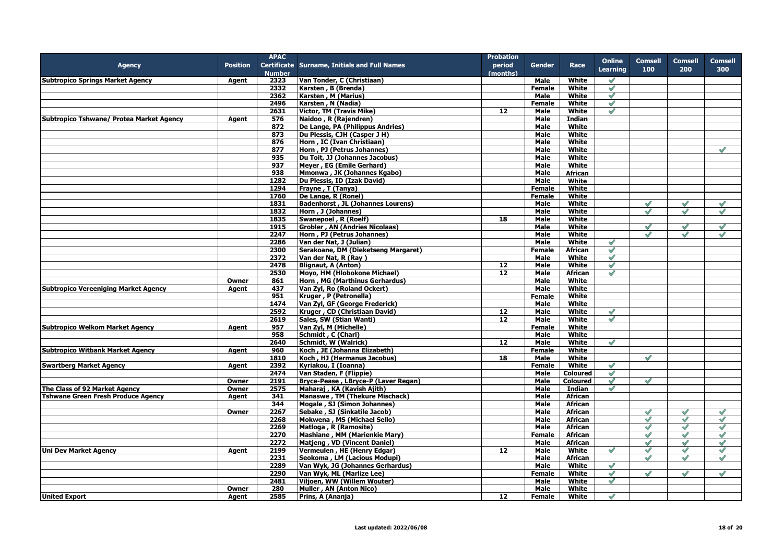|                                             |                 | <b>APAC</b>   |                                              | <b>Probation</b>  |               |                 |                 |                |                |                |
|---------------------------------------------|-----------------|---------------|----------------------------------------------|-------------------|---------------|-----------------|-----------------|----------------|----------------|----------------|
| <b>Agency</b>                               | <b>Position</b> |               | Certificate Surname, Initials and Full Names | period            | <b>Gender</b> | Race            | <b>Online</b>   | <b>Comsell</b> | <b>Comsell</b> | <b>Comsell</b> |
|                                             |                 | <b>Number</b> |                                              | (months)          |               |                 | <b>Learning</b> | 100            | 200            | 300            |
| <b>Subtropico Springs Market Agency</b>     | Agent           | 2323          | Van Tonder, C (Christiaan)                   |                   | Male          | White           | $\mathscr{O}$   |                |                |                |
|                                             |                 | 2332          | Karsten, B (Brenda)                          |                   | <b>Female</b> | White           | $\checkmark$    |                |                |                |
|                                             |                 | 2362          | Karsten, M (Marius)                          |                   | Male          | White           | $\mathscr{S}$   |                |                |                |
|                                             |                 | 2496          | Karsten, N (Nadia)                           |                   | Female        | White           | $\mathcal{S}$   |                |                |                |
|                                             |                 | 2631          | <b>Victor, TM (Travis Mike)</b>              | 12 <sup>12</sup>  | Male          | White           | $\checkmark$    |                |                |                |
| Subtropico Tshwane/ Protea Market Agency    | Agent           | 576           | Naidoo, R (Rajendren)                        |                   | <b>Male</b>   | <b>Indian</b>   |                 |                |                |                |
|                                             |                 | 872           | De Lange, PA (Philippus Andries)             |                   | Male          | White           |                 |                |                |                |
|                                             |                 | 873           | Du Plessis, CJH (Casper J H)                 |                   | Male          | White           |                 |                |                |                |
|                                             |                 | 876           | Horn, IC (Ivan Christiaan)                   |                   | Male          | White           |                 |                |                |                |
|                                             |                 |               |                                              |                   | <b>Male</b>   | <b>White</b>    |                 |                |                | $\mathscr{A}$  |
|                                             |                 | 877           | Horn, PJ (Petrus Johannes)                   |                   |               |                 |                 |                |                |                |
|                                             |                 | 935           | Du Toit, JJ (Johannes Jacobus)               |                   | Male          | White           |                 |                |                |                |
|                                             |                 | 937           | Meyer, EG (Emile Gerhard)                    |                   | Male          | <b>White</b>    |                 |                |                |                |
|                                             |                 | 938           | Mmonwa, JK (Johannes Kgabo)                  |                   | Male          | African         |                 |                |                |                |
|                                             |                 | 1282          | Du Plessis, ID (Izak David)                  |                   | Male          | White           |                 |                |                |                |
|                                             |                 | 1294          | Frayne, T (Tanya)                            |                   | Female        | White           |                 |                |                |                |
|                                             |                 | 1760          | De Lange, R (Ronel)                          |                   | <b>Female</b> | White           |                 |                |                |                |
|                                             |                 | 1831          | <b>Badenhorst, JL (Johannes Lourens)</b>     |                   | Male          | White           |                 | $\mathscr{S}$  | $\mathscr{S}$  | $\checkmark$   |
|                                             |                 | 1832          | Horn, J (Johannes)                           |                   | Male          | White           |                 | $\mathscr{S}$  | $\mathscr{S}$  | $\mathscr{S}$  |
|                                             |                 | 1835          | Swanepoel, R (Roelf)                         | 18                | Male          | White           |                 |                |                |                |
|                                             |                 | 1915          | <b>Grobler, AN (Andries Nicolaas)</b>        |                   | Male          | White           |                 | $\mathscr{S}$  | $\mathscr{S}$  | $\mathscr{S}$  |
|                                             |                 | 2247          | Horn, PJ (Petrus Johannes)                   |                   | Male          | White           |                 | $\mathscr{O}$  | $\mathscr{S}$  | $\mathscr{S}$  |
|                                             |                 | 2286          | Van der Nat, J (Julian)                      |                   | <b>Male</b>   | White           | $\mathscr{S}$   |                |                |                |
|                                             |                 | 2300          | Serakoane, DM (Dieketseng Margaret)          |                   | <b>Female</b> | <b>African</b>  | $\mathcal{S}$   |                |                |                |
|                                             |                 | 2372          | Van der Nat, R (Ray)                         |                   | Male          | White           | $\mathscr{S}$   |                |                |                |
|                                             |                 |               |                                              | 12                |               | White           | $\mathscr{S}$   |                |                |                |
|                                             |                 | 2478          | <b>Blignaut, A (Anton)</b>                   |                   | Male          |                 |                 |                |                |                |
|                                             |                 | 2530          | Moyo, HM (Hlobokone Michael)                 | 12                | Male          | <b>African</b>  | $\mathscr{S}$   |                |                |                |
|                                             | Owner           | 861           | Horn, MG (Marthinus Gerhardus)               |                   | Male          | White           |                 |                |                |                |
| <b>Subtropico Vereeniging Market Agency</b> | Agent           | 437           | Van Zyl, Ro (Roland Ockert)                  |                   | <b>Male</b>   | White           |                 |                |                |                |
|                                             |                 | 951           | Kruger, P (Petronella)                       |                   | <b>Female</b> | White           |                 |                |                |                |
|                                             |                 | 1474          | Van Zyl, GF (George Frederick)               |                   | Male          | White           |                 |                |                |                |
|                                             |                 | 2592          | Kruger, CD (Christiaan David)                | 12 <sup>12</sup>  | <b>Male</b>   | White           | $\mathscr{S}$   |                |                |                |
|                                             |                 | 2619          | Sales, SW (Stian Wanti)                      | 12                | Male          | White           | $\mathscr{S}$   |                |                |                |
| <b>Subtropico Welkom Market Agency</b>      | Agent           | 957           | Van Zyl, M (Michelle)                        |                   | Female        | White           |                 |                |                |                |
|                                             |                 | 958           | Schmidt, C (Charl)                           |                   | Male          | White           |                 |                |                |                |
|                                             |                 | 2640          | Schmidt, W (Walrick)                         | 12                | <b>Male</b>   | White           | $\mathscr{S}$   |                |                |                |
| <b>Subtropico Witbank Market Agency</b>     | Agent           | 960           | Koch, JE (Johanna Elizabeth)                 |                   | <b>Female</b> | White           |                 |                |                |                |
|                                             |                 | 1810          | Koch, HJ (Hermanus Jacobus)                  | 18                | Male          | White           |                 | $\mathscr{S}$  |                |                |
| <b>Swartberg Market Agency</b>              | Agent           | 2392          | Kyriakou, I (Ioanna)                         |                   | <b>Female</b> | White           | $\mathscr{S}$   |                |                |                |
|                                             |                 | 2474          | Van Staden, F (Flippie)                      |                   | Male          | <b>Coloured</b> | $\mathscr{S}$   |                |                |                |
|                                             | Owner           | 2191          | Bryce-Pease, LBryce-P (Laver Regan)          |                   | Male          | <b>Coloured</b> | $\mathscr{S}$   | $\checkmark$   |                |                |
| The Class of 92 Market Agency               | Owner           | 2575          | Maharaj, KA (Kavish Ajith)                   |                   | Male          | <b>Indian</b>   | $\mathscr{S}$   |                |                |                |
| <b>Tshwane Green Fresh Produce Agency</b>   | Agent           | 341           | Manaswe, TM (Thekure Mischack)               |                   | Male          | <b>African</b>  |                 |                |                |                |
|                                             |                 |               | Mogale, SJ (Simon Johannes)                  |                   |               |                 |                 |                |                |                |
|                                             |                 | 344           |                                              |                   | <b>Male</b>   | African         |                 |                |                |                |
|                                             | Owner           | 2267          | Sebake, SJ (Sinkatile Jacob)                 |                   | Male          | African         |                 | $\checkmark$   | $\checkmark$   | $\checkmark$   |
|                                             |                 | 2268          | Mokwena, MS (Michael Sello)                  |                   | <b>Male</b>   | <b>African</b>  |                 | $\checkmark$   | $\mathscr{O}$  | $\mathscr{O}$  |
|                                             |                 | 2269          | Matloga, R (Ramosite)                        |                   | Male          | <b>African</b>  |                 | $\checkmark$   | $\checkmark$   | $\checkmark$   |
|                                             |                 | 2270          | Mashiane, MM (Marienkie Mary)                |                   | Female        | <b>African</b>  |                 | $\checkmark$   | $\checkmark$   | $\mathscr{S}$  |
|                                             |                 | 2272          | Matjeng, VD (Vincent Daniel)                 |                   | Male          | African         |                 | $\checkmark$   | $\checkmark$   | $\sqrt{}$      |
| <b>Uni Dev Market Agency</b>                | Agent           | 2199          | Vermeulen, HE (Henry Edgar)                  | 12                | Male          | <b>White</b>    | $\mathscr{S}$   | $\mathscr{S}$  | $\mathscr{S}$  | $\mathscr{S}$  |
|                                             |                 | 2231          | Seokoma, LM (Lacious Modupi)                 |                   | Male          | African         |                 | $\mathscr{S}$  | $\mathscr{S}$  | $\mathscr{S}$  |
|                                             |                 | 2289          | Van Wyk, JG (Johannes Gerhardus)             |                   | Male          | White           | $\mathscr{S}$   |                |                |                |
|                                             |                 | 2290          | Van Wyk, ML (Marlize Lee)                    |                   | Female        | White           | $\mathscr{S}$   | $\checkmark$   | $\checkmark$   | $\mathscr{S}$  |
|                                             |                 | 2481          | Viljoen, WW (Willem Wouter)                  |                   | Male          | White           | $\mathscr{O}$   |                |                |                |
|                                             | <b>Owner</b>    | 280           | Muller, AN (Anton Nico)                      |                   | <b>Male</b>   | White           |                 |                |                |                |
| <b>United Export</b>                        | Agent           | 2585          | Prins, A (Ananja)                            | $12 \overline{ }$ | Female        | White           | $\mathscr{S}$   |                |                |                |
|                                             |                 |               |                                              |                   |               |                 |                 |                |                |                |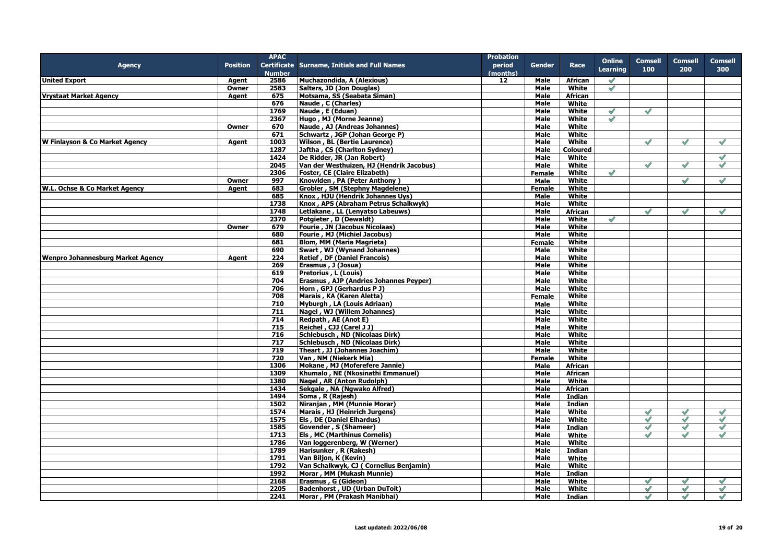|                                          |                 | <b>APAC</b>      |                                              | <b>Probation</b> |               |                 |                 |                |               |                |
|------------------------------------------|-----------------|------------------|----------------------------------------------|------------------|---------------|-----------------|-----------------|----------------|---------------|----------------|
| <b>Agency</b>                            | <b>Position</b> |                  | Certificate Surname, Initials and Full Names | period           | Gender        | Race            | <b>Online</b>   | <b>Comsell</b> | Comsell       | <b>Comsell</b> |
|                                          |                 | <b>Number</b>    |                                              | (months)         |               |                 | <b>Learning</b> | 100            | 200           | 300            |
| <b>United Export</b>                     | Agent           | 2586             | Muchazondida, A (Alexious)                   | 12               | Male          | African         | $\checkmark$    |                |               |                |
|                                          | Owner           | 2583             |                                              |                  | <b>Male</b>   | White           | $\mathscr{S}$   |                |               |                |
|                                          |                 |                  | Salters, JD (Jon Douglas)                    |                  |               |                 |                 |                |               |                |
| <b>Vrystaat Market Agency</b>            | Agent           | 675              | Motsama, SS (Seabata Siman)                  |                  | Male          | African         |                 |                |               |                |
|                                          |                 | 676              | Naude, C (Charles)                           |                  | Male          | White           |                 |                |               |                |
|                                          |                 | 1769             | Naude, E (Eduan)                             |                  | Male          | White           | $\mathscr{S}$   | $\mathscr{S}$  |               |                |
|                                          |                 | 2367             | Hugo, MJ (Morne Jeanne)                      |                  | Male          | White           | $\mathscr{S}$   |                |               |                |
|                                          | Owner           | 670              | Naude, AJ (Andreas Johannes)                 |                  | Male          | White           |                 |                |               |                |
|                                          |                 | 671              | Schwartz, JGP (Johan George P)               |                  | Male          | White           |                 |                |               |                |
| W Finlayson & Co Market Agency           | Agent           | 1003             | <b>Wilson, BL (Bertie Laurence)</b>          |                  | Male          | White           |                 | $\mathscr{S}$  | $\mathscr{S}$ | $\mathscr{S}$  |
|                                          |                 | 1287             | Jaftha, CS (Charlton Sydney)                 |                  | Male          | <b>Coloured</b> |                 |                |               |                |
|                                          |                 | 1424             | De Ridder, JR (Jan Robert)                   |                  | Male          | White           |                 |                |               | $\mathscr{S}$  |
|                                          |                 | 2045             | Van der Westhuizen, HJ (Hendrik Jacobus)     |                  | Male          | White           |                 | $\mathscr{S}$  | $\mathscr{Q}$ | $\mathscr{S}$  |
|                                          |                 | 2306             | Foster, CE (Claire Elizabeth)                |                  | <b>Female</b> | White           | $\mathscr{S}$   |                |               |                |
|                                          | Owner           | 997              | Knowlden, PA (Peter Anthony)                 |                  | Male          | White           |                 |                | $\mathscr{S}$ | $\mathscr{S}$  |
| W.L. Ochse & Co Market Agency            | Agent           | 683              | Grobler, SM (Stephny Magdelene)              |                  | <b>Female</b> | <b>White</b>    |                 |                |               |                |
|                                          |                 | 685              | Knox, HJU (Hendrik Johannes Uys)             |                  | Male          | White           |                 |                |               |                |
|                                          |                 | 1738             | Knox, APS (Abraham Petrus Schalkwyk)         |                  | Male          | <b>White</b>    |                 |                |               |                |
|                                          |                 |                  |                                              |                  |               |                 |                 |                |               |                |
|                                          |                 | 1748             | Letlakane, LL (Lenyatso Labeuws)             |                  | Male          | African         |                 | $\mathscr{A}$  | $\mathscr{S}$ | $\checkmark$   |
|                                          |                 | 2370             | Potgieter, D (Dewaldt)                       |                  | Male          | White           | $\mathscr{S}$   |                |               |                |
|                                          | Owner           | 679              | Fourie, JN (Jacobus Nicolaas)                |                  | Male          | White           |                 |                |               |                |
|                                          |                 | 680              | Fourie, MJ (Michiel Jacobus)                 |                  | Male          | White           |                 |                |               |                |
|                                          |                 | 681              | <b>Blom, MM (Maria Magrieta)</b>             |                  | <b>Female</b> | White           |                 |                |               |                |
|                                          |                 | 690              | Swart, WJ (Wynand Johannes)                  |                  | Male          | White           |                 |                |               |                |
| <b>Wenpro Johannesburg Market Agency</b> | Agent           | 224              | <b>Retief, DF (Daniel Francois)</b>          |                  | Male          | White           |                 |                |               |                |
|                                          |                 | 269              | Erasmus, J (Josua)                           |                  | Male          | White           |                 |                |               |                |
|                                          |                 | 619              | Pretorius, L (Louis)                         |                  | Male          | White           |                 |                |               |                |
|                                          |                 | 704              | Erasmus, AJP (Andries Johannes Peyper)       |                  | Male          | White           |                 |                |               |                |
|                                          |                 | 706              | Horn, GPJ (Gerhardus P J)                    |                  | Male          | White           |                 |                |               |                |
|                                          |                 | 708              | Marais, KA (Karen Aletta)                    |                  | <b>Female</b> | White           |                 |                |               |                |
|                                          |                 | 710              | Myburgh, LA (Louis Adriaan)                  |                  | Male          | White           |                 |                |               |                |
|                                          |                 | 711              | Nagel, WJ (Willem Johannes)                  |                  | <b>Male</b>   | <b>White</b>    |                 |                |               |                |
|                                          |                 |                  |                                              |                  |               |                 |                 |                |               |                |
|                                          |                 | 714              | Redpath, AE (Anot E)                         |                  | Male          | White           |                 |                |               |                |
|                                          |                 | 715              | Reichel, CJJ (Carel J J)                     |                  | Male          | White           |                 |                |               |                |
|                                          |                 | 716              | <b>Schlebusch, ND (Nicolaas Dirk)</b>        |                  | <b>Male</b>   | White           |                 |                |               |                |
|                                          |                 | $\overline{717}$ | Schlebusch, ND (Nicolaas Dirk)               |                  | <b>Male</b>   | White           |                 |                |               |                |
|                                          |                 | 719              | Theart, JJ (Johannes Joachim)                |                  | Male          | White           |                 |                |               |                |
|                                          |                 | 720              | Van, NM (Niekerk Mia)                        |                  | Female        | White           |                 |                |               |                |
|                                          |                 | 1306             | Mokane, MJ (Moferefere Jannie)               |                  | Male          | <b>African</b>  |                 |                |               |                |
|                                          |                 | 1309             | Khumalo, NE (Nkosinathi Emmanuel)            |                  | Male          | African         |                 |                |               |                |
|                                          |                 | 1380             | Nagel, AR (Anton Rudolph)                    |                  | Male          | White           |                 |                |               |                |
|                                          |                 | 1434             | Sekgale, NA (Ngwako Alfred)                  |                  | Male          | African         |                 |                |               |                |
|                                          |                 | 1494             | Soma, R (Rajesh)                             |                  | Male          | Indian          |                 |                |               |                |
|                                          |                 | 1502             | Niranjan, MM (Munnie Morar)                  |                  | Male          | Indian          |                 |                |               |                |
|                                          |                 | 1574             | Marais, HJ (Heinrich Jurgens)                |                  | Male          | White           |                 | $\mathscr{S}$  | $\checkmark$  | $\checkmark$   |
|                                          |                 | 1575             | <b>Els, DE (Daniel Elhardus)</b>             |                  | Male          | White           |                 | $\mathscr{S}$  | $\mathscr{S}$ | $\mathscr{S}$  |
|                                          |                 | 1585             | Govender, S (Shameer)                        |                  | Male          |                 |                 | $\mathscr{O}$  | $\mathscr{S}$ | $\mathscr{O}$  |
|                                          |                 |                  |                                              |                  |               | Indian          |                 |                |               |                |
|                                          |                 | 1713             | <b>Els, MC (Marthinus Cornelis)</b>          |                  | Male          | White           |                 | $\mathscr{S}$  | $\mathscr{S}$ | $\mathscr{S}$  |
|                                          |                 | 1786             | Van loggerenberg, W (Werner)                 |                  | Male          | White           |                 |                |               |                |
|                                          |                 | 1789             | Harisunker, R (Rakesh)                       |                  | Male          | <b>Indian</b>   |                 |                |               |                |
|                                          |                 | 1791             | Van Biljon, K (Kevin)                        |                  | Male          | White           |                 |                |               |                |
|                                          |                 | 1792             | Van Schalkwyk, CJ (Cornelius Benjamin)       |                  | Male          | White           |                 |                |               |                |
|                                          |                 | 1992             | Morar, MM (Mukash Munnie)                    |                  | <b>Male</b>   | Indian          |                 |                |               |                |
|                                          |                 | 2168             | Erasmus, G (Gideon)                          |                  | Male          | White           |                 | $\mathscr{S}$  | $\sqrt{}$     | $\mathscr{S}$  |
|                                          |                 | 2205             | <b>Badenhorst, UD (Urban DuToit)</b>         |                  | Male          | White           |                 | $\mathscr{S}$  | $\mathscr{S}$ | $\mathscr{S}$  |
|                                          |                 | 2241             | Morar, PM (Prakash Manibhai)                 |                  | <b>Male</b>   | Indian          |                 | $\checkmark$   | $\checkmark$  | $\checkmark$   |
|                                          |                 |                  |                                              |                  |               |                 |                 |                |               |                |